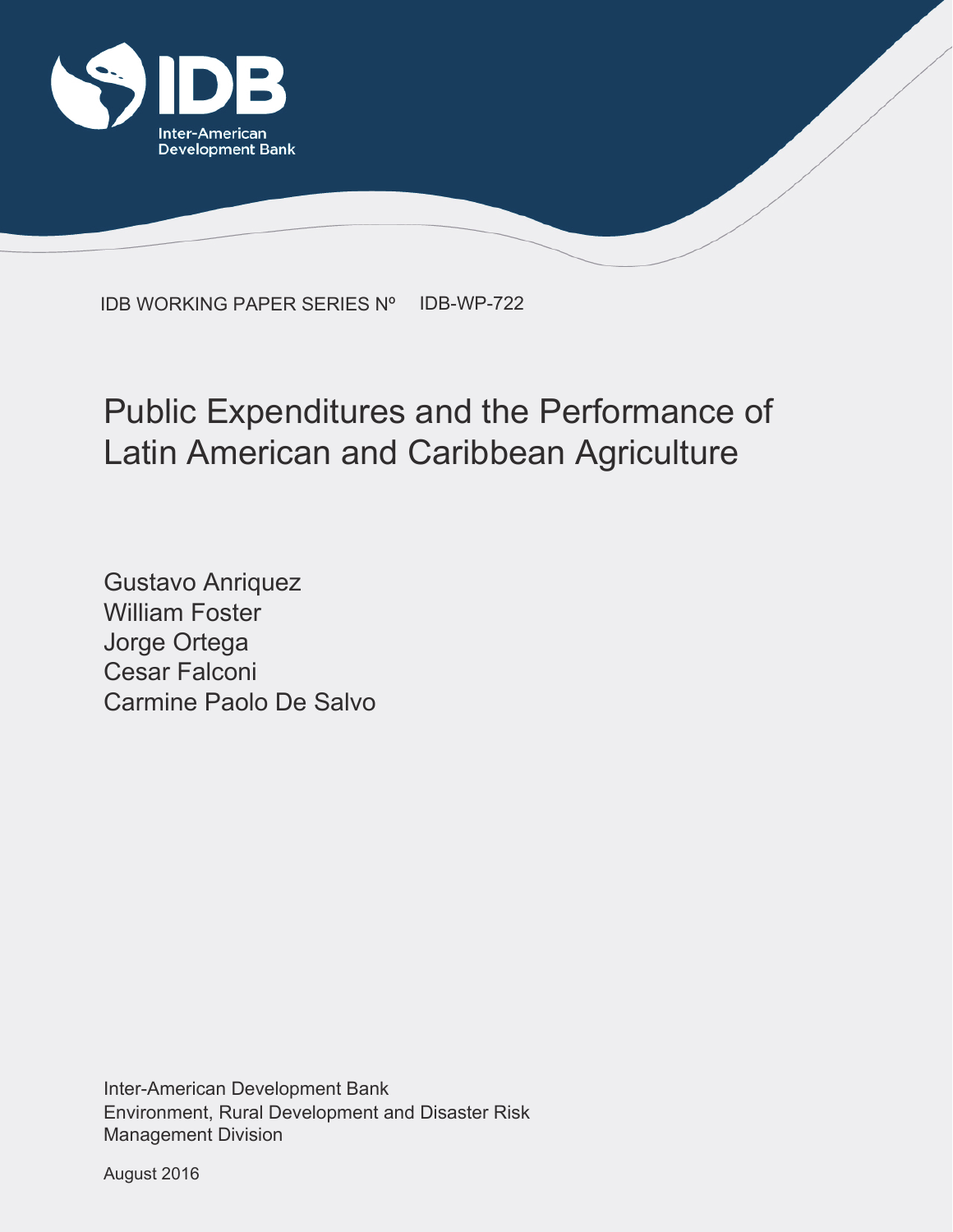

IDB WORKING PAPER SERIES Nº IDB-WP-722

## Public Expenditures and the Performance of Latin American and Caribbean Agriculture

Gustavo Anriquez William Foster Jorge Ortega Cesar Falconi Carmine Paolo De Salvo

Environment, Rural Development and Disaster Risk Management Division Inter-American Development Bank

August 2016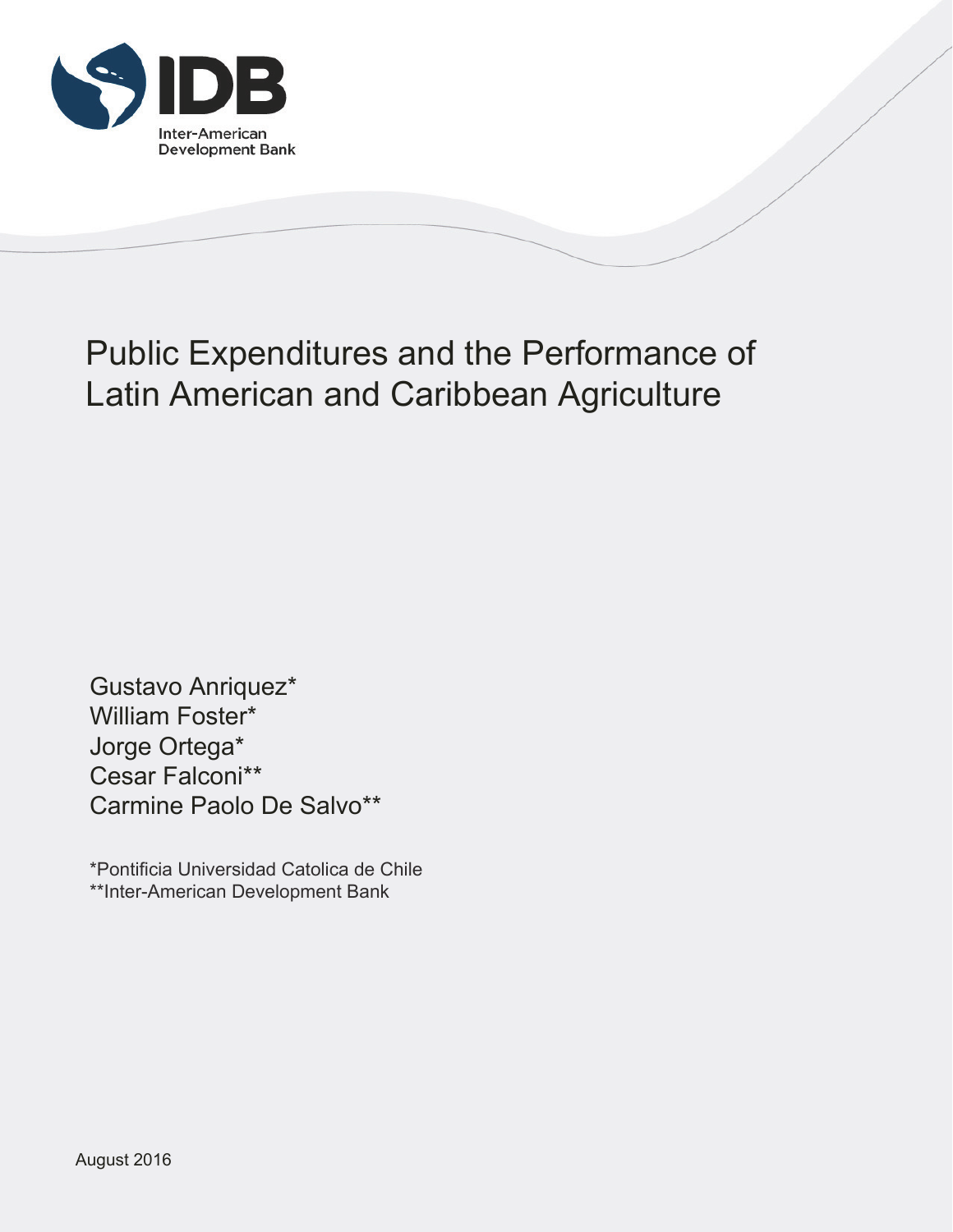

# Public Expenditures and the Performance of Latin American and Caribbean Agriculture

Gustavo Anriquez\* William Foster\* Jorge Ortega\* Cesar Falconi\*\* Carmine Paolo De Salvo\*\*

\*Pontificia Universidad Catolica de Chile \*\*Inter-American Development Bank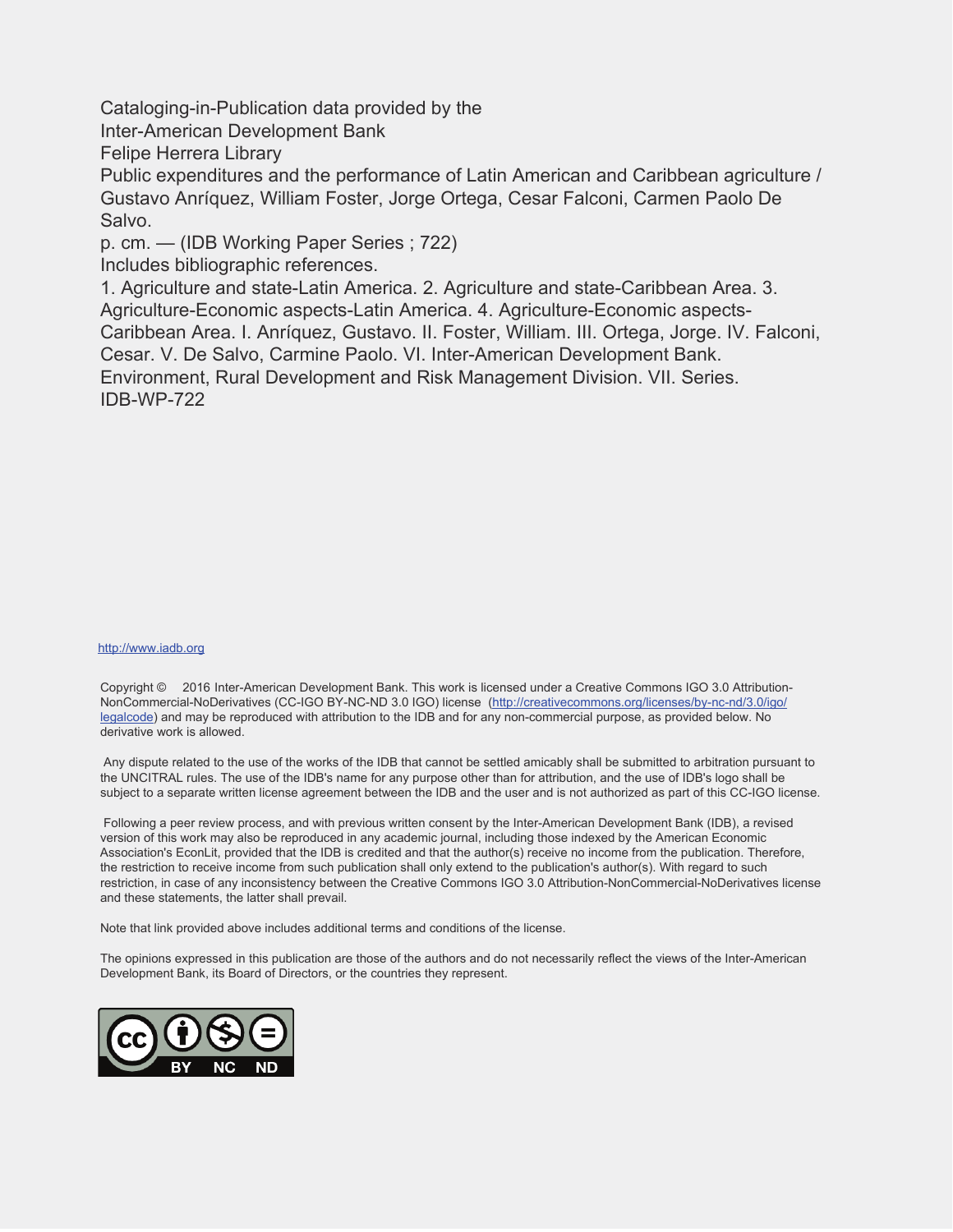Cataloging-in-Publication data provided by the

Inter-American Development Bank

Felipe Herrera Library

Public expenditures and the performance of Latin American and Caribbean agriculture / Gustavo Anríquez, William Foster, Jorge Ortega, Cesar Falconi, Carmen Paolo De Salvo.

p. cm. — (IDB Working Paper Series ; 722)

Includes bibliographic references.

1. Agriculture and state-Latin America. 2. Agriculture and state-Caribbean Area. 3. Agriculture-Economic aspects-Latin America. 4. Agriculture-Economic aspects-Caribbean Area. I. Anríquez, Gustavo. II. Foster, William. III. Ortega, Jorge. IV. Falconi, Cesar. V. De Salvo, Carmine Paolo. VI. Inter-American Development Bank. Environment, Rural Development and Risk Management Division. VII. Series. IDB-WP-722

#### http://www.iadb.org

Copyright © 2016 Inter-American Development Bank. This work is licensed under a Creative Commons IGO 3.0 Attribution-NonCommercial-NoDerivatives (CC-IGO BY-NC-ND 3.0 IGO) license (http://creativecommons.org/licenses/by-nc-nd/3.0/igo/ legalcode) and may be reproduced with attribution to the IDB and for any non-commercial purpose, as provided below. No derivative work is allowed.

 Any dispute related to the use of the works of the IDB that cannot be settled amicably shall be submitted to arbitration pursuant to the UNCITRAL rules. The use of the IDB's name for any purpose other than for attribution, and the use of IDB's logo shall be subject to a separate written license agreement between the IDB and the user and is not authorized as part of this CC-IGO license.

 Following a peer review process, and with previous written consent by the Inter-American Development Bank (IDB), a revised version of this work may also be reproduced in any academic journal, including those indexed by the American Economic Association's EconLit, provided that the IDB is credited and that the author(s) receive no income from the publication. Therefore, the restriction to receive income from such publication shall only extend to the publication's author(s). With regard to such restriction, in case of any inconsistency between the Creative Commons IGO 3.0 Attribution-NonCommercial-NoDerivatives license and these statements, the latter shall prevail.

Note that link provided above includes additional terms and conditions of the license.

The opinions expressed in this publication are those of the authors and do not necessarily reflect the views of the Inter-American Development Bank, its Board of Directors, or the countries they represent.

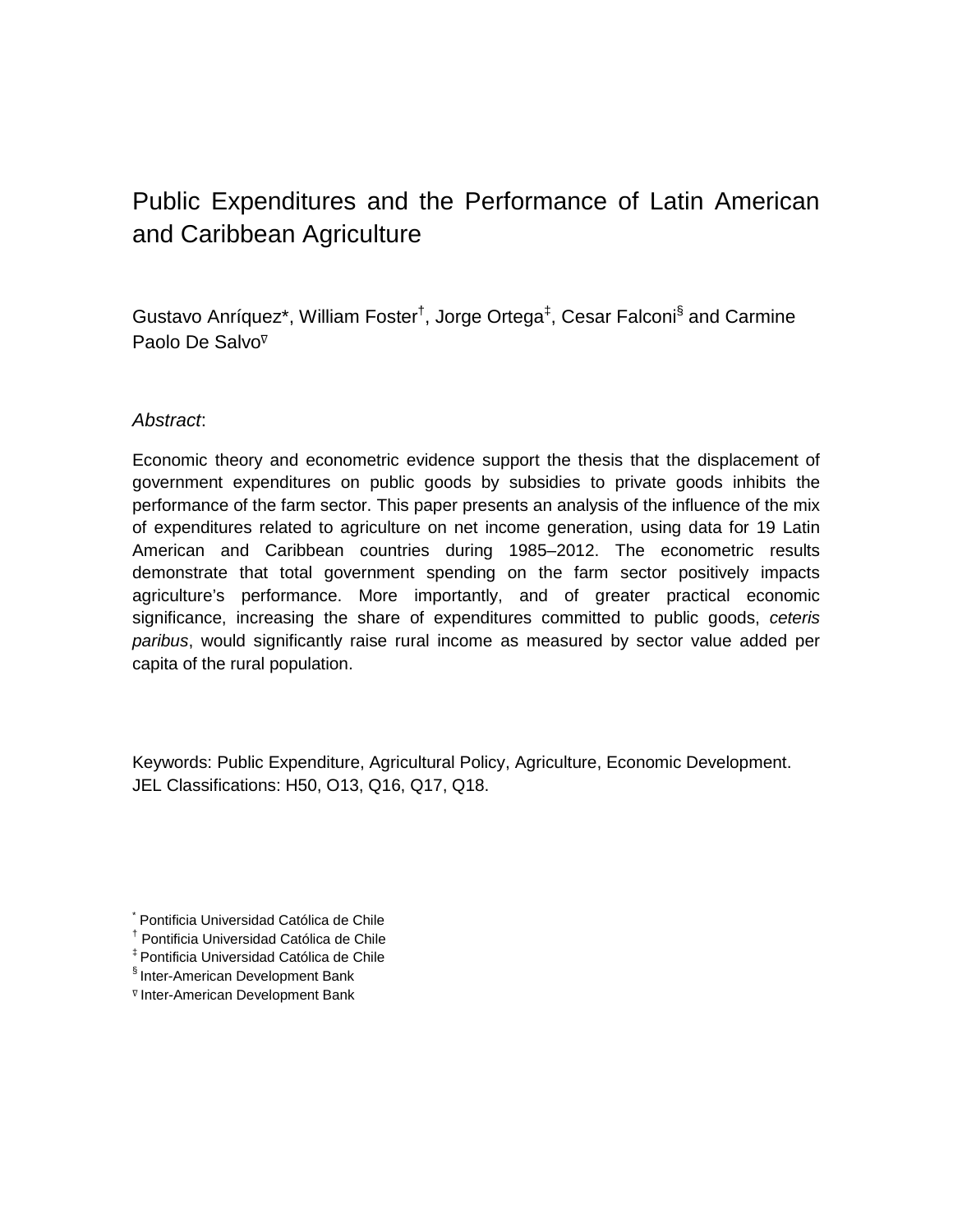### Public Expenditures and the Performance of Latin American and Caribbean Agriculture

Gustavo Anríquez\*, William Foster<sup>†</sup>, Jorge Ortega<sup>‡</sup>, Cesar Falconi<sup>§</sup> and Carmine Paolo De Salvo<sup>⊽</sup>

#### *Abstract*:

Economic theory and econometric evidence support the thesis that the displacement of government expenditures on public goods by subsidies to private goods inhibits the performance of the farm sector. This paper presents an analysis of the influence of the mix of expenditures related to agriculture on net income generation, using data for 19 Latin American and Caribbean countries during 1985–2012. The econometric results demonstrate that total government spending on the farm sector positively impacts agriculture's performance. More importantly, and of greater practical economic significance, increasing the share of expenditures committed to public goods, *ceteris paribus*, would significantly raise rural income as measured by sector value added per capita of the rural population.

Keywords: Public Expenditure, Agricultural Policy, Agriculture, Economic Development. JEL Classifications: H50, O13, Q16, Q17, Q18.

- ‡ Pontificia Universidad Católica de Chile
- § Inter-American Development Bank
- <sup>∇</sup> Inter-American Development Bank

<sup>\*</sup> Pontificia Universidad Católica de Chile

<sup>†</sup> Pontificia Universidad Católica de Chile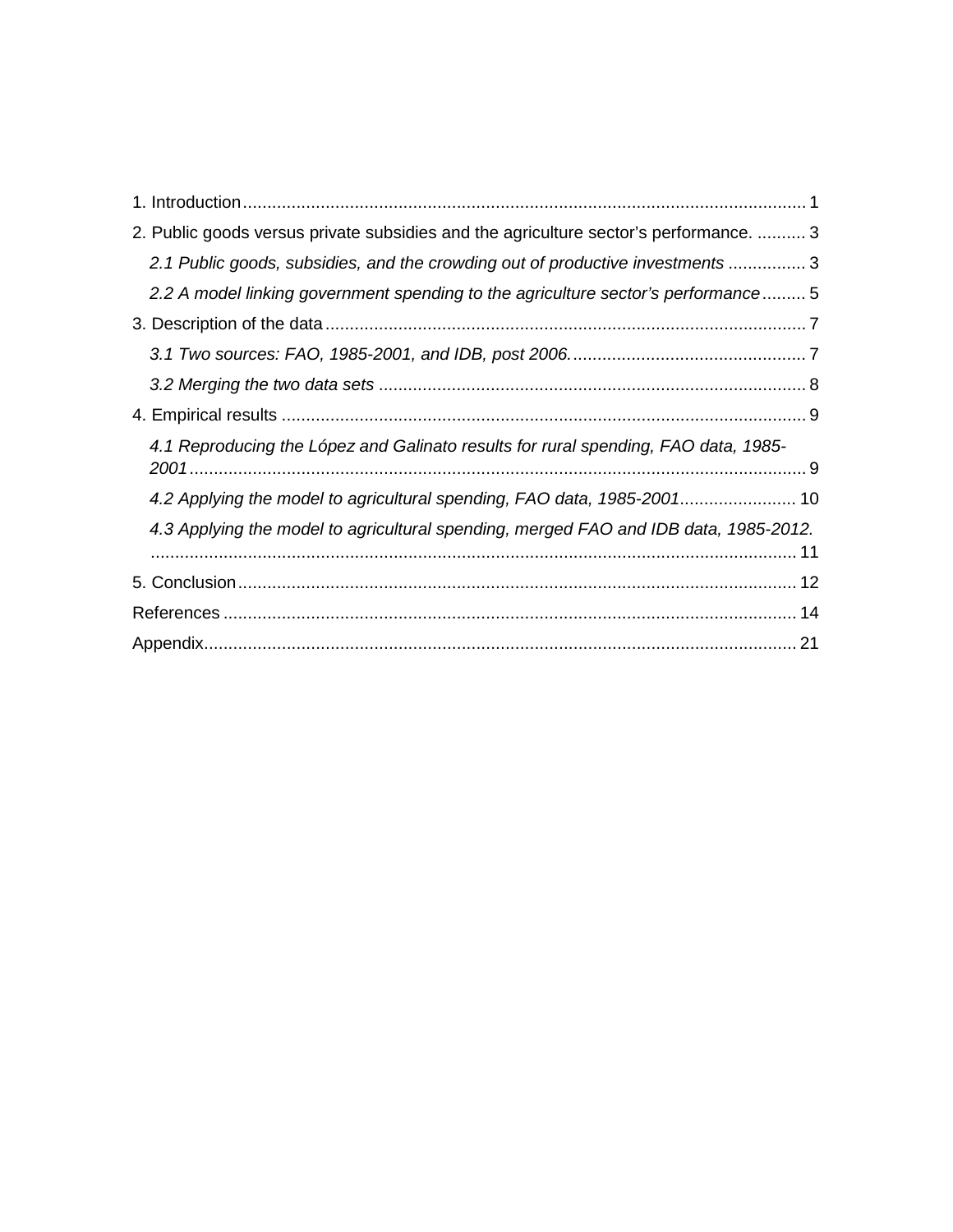| 2. Public goods versus private subsidies and the agriculture sector's performance.  3 |
|---------------------------------------------------------------------------------------|
| 2.1 Public goods, subsidies, and the crowding out of productive investments 3         |
| 2.2 A model linking government spending to the agriculture sector's performance 5     |
|                                                                                       |
|                                                                                       |
|                                                                                       |
|                                                                                       |
| 4.1 Reproducing the López and Galinato results for rural spending, FAO data, 1985-    |
| 4.2 Applying the model to agricultural spending, FAO data, 1985-2001 10               |
| 4.3 Applying the model to agricultural spending, merged FAO and IDB data, 1985-2012.  |
|                                                                                       |
|                                                                                       |
|                                                                                       |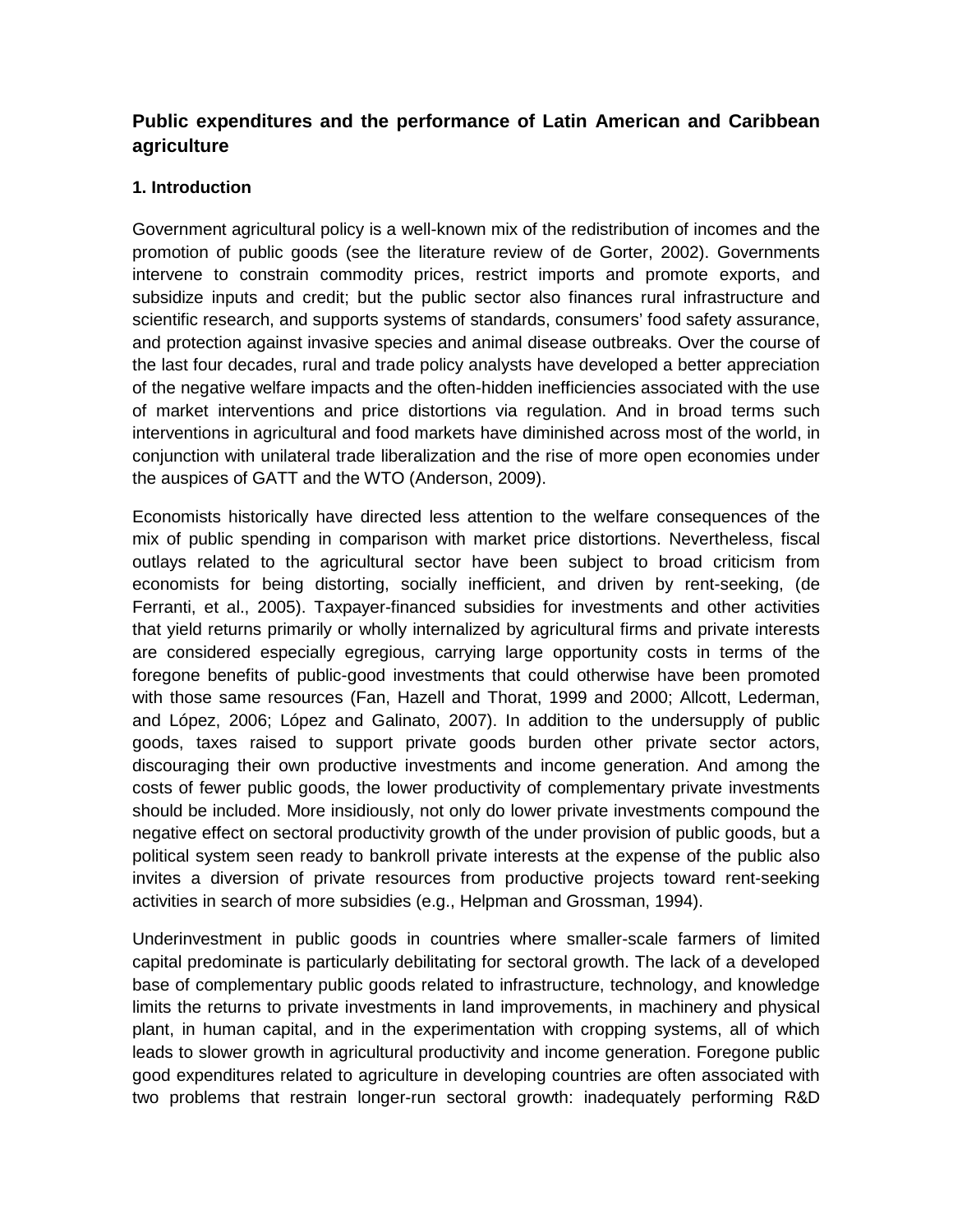#### **Public expenditures and the performance of Latin American and Caribbean agriculture**

#### <span id="page-5-0"></span>**1. Introduction**

Government agricultural policy is a well-known mix of the redistribution of incomes and the promotion of public goods (see the literature review of de Gorter, 2002). Governments intervene to constrain commodity prices, restrict imports and promote exports, and subsidize inputs and credit; but the public sector also finances rural infrastructure and scientific research, and supports systems of standards, consumers' food safety assurance, and protection against invasive species and animal disease outbreaks. Over the course of the last four decades, rural and trade policy analysts have developed a better appreciation of the negative welfare impacts and the often-hidden inefficiencies associated with the use of market interventions and price distortions via regulation. And in broad terms such interventions in agricultural and food markets have diminished across most of the world, in conjunction with unilateral trade liberalization and the rise of more open economies under the auspices of GATT and the WTO (Anderson, 2009).

Economists historically have directed less attention to the welfare consequences of the mix of public spending in comparison with market price distortions. Nevertheless, fiscal outlays related to the agricultural sector have been subject to broad criticism from economists for being distorting, socially inefficient, and driven by rent-seeking, (de Ferranti, et al., 2005). Taxpayer-financed subsidies for investments and other activities that yield returns primarily or wholly internalized by agricultural firms and private interests are considered especially egregious, carrying large opportunity costs in terms of the foregone benefits of public-good investments that could otherwise have been promoted with those same resources (Fan, Hazell and Thorat, 1999 and 2000; Allcott, Lederman, and López, 2006; López and Galinato, 2007). In addition to the undersupply of public goods, taxes raised to support private goods burden other private sector actors, discouraging their own productive investments and income generation. And among the costs of fewer public goods, the lower productivity of complementary private investments should be included. More insidiously, not only do lower private investments compound the negative effect on sectoral productivity growth of the under provision of public goods, but a political system seen ready to bankroll private interests at the expense of the public also invites a diversion of private resources from productive projects toward rent-seeking activities in search of more subsidies (e.g., Helpman and Grossman, 1994).

Underinvestment in public goods in countries where smaller-scale farmers of limited capital predominate is particularly debilitating for sectoral growth. The lack of a developed base of complementary public goods related to infrastructure, technology, and knowledge limits the returns to private investments in land improvements, in machinery and physical plant, in human capital, and in the experimentation with cropping systems, all of which leads to slower growth in agricultural productivity and income generation. Foregone public good expenditures related to agriculture in developing countries are often associated with two problems that restrain longer-run sectoral growth: inadequately performing R&D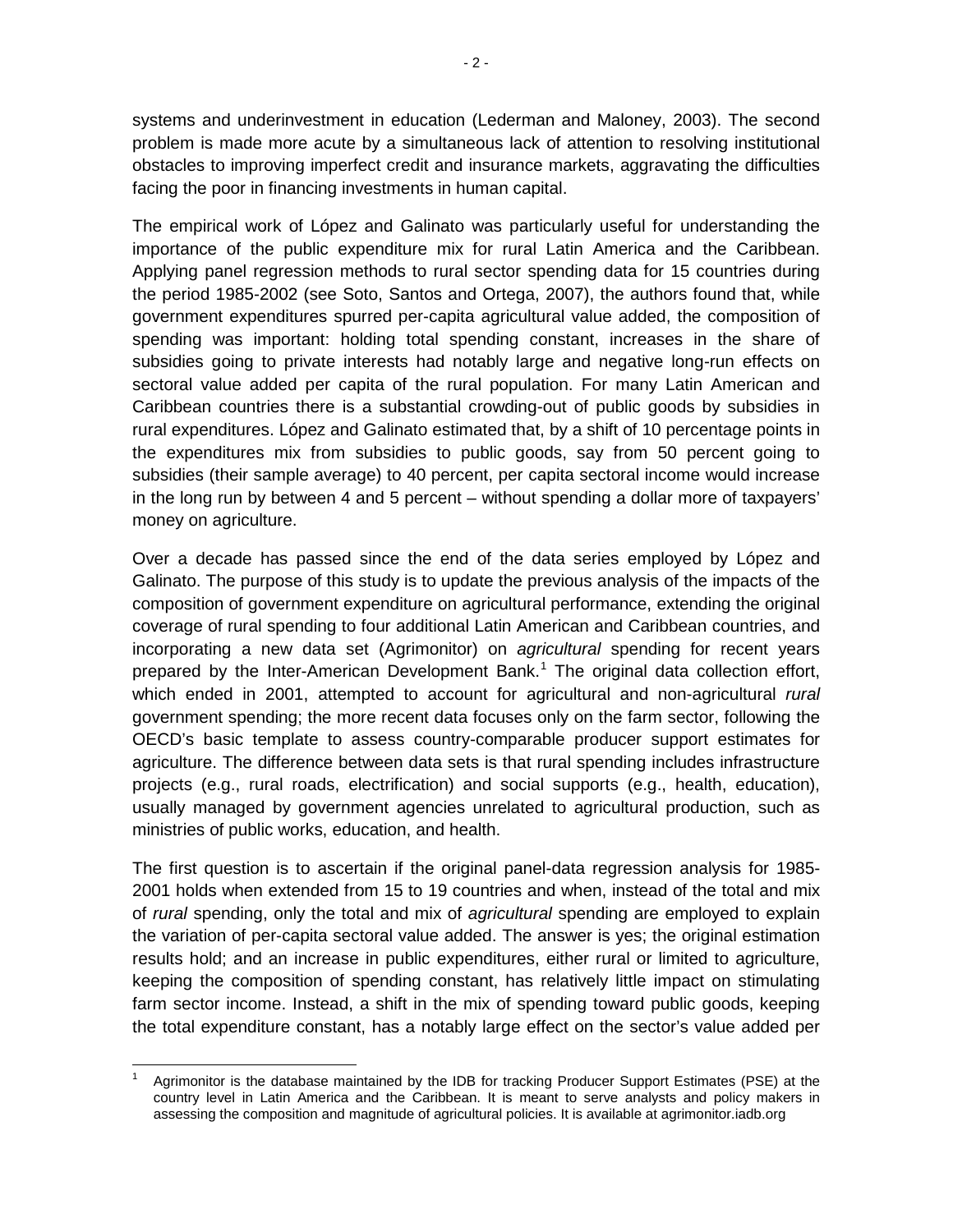systems and underinvestment in education (Lederman and Maloney, 2003). The second problem is made more acute by a simultaneous lack of attention to resolving institutional obstacles to improving imperfect credit and insurance markets, aggravating the difficulties facing the poor in financing investments in human capital.

The empirical work of López and Galinato was particularly useful for understanding the importance of the public expenditure mix for rural Latin America and the Caribbean. Applying panel regression methods to rural sector spending data for 15 countries during the period 1985-2002 (see Soto, Santos and Ortega, 2007), the authors found that, while government expenditures spurred per-capita agricultural value added, the composition of spending was important: holding total spending constant, increases in the share of subsidies going to private interests had notably large and negative long-run effects on sectoral value added per capita of the rural population. For many Latin American and Caribbean countries there is a substantial crowding-out of public goods by subsidies in rural expenditures. López and Galinato estimated that, by a shift of 10 percentage points in the expenditures mix from subsidies to public goods, say from 50 percent going to subsidies (their sample average) to 40 percent, per capita sectoral income would increase in the long run by between 4 and 5 percent – without spending a dollar more of taxpayers' money on agriculture.

Over a decade has passed since the end of the data series employed by López and Galinato. The purpose of this study is to update the previous analysis of the impacts of the composition of government expenditure on agricultural performance, extending the original coverage of rural spending to four additional Latin American and Caribbean countries, and incorporating a new data set (Agrimonitor) on *agricultural* spending for recent years prepared by the Inter-American Development Bank.<sup>[1](#page-6-0)</sup> The original data collection effort, which ended in 2001, attempted to account for agricultural and non-agricultural *rural* government spending; the more recent data focuses only on the farm sector, following the OECD's basic template to assess country-comparable producer support estimates for agriculture. The difference between data sets is that rural spending includes infrastructure projects (e.g., rural roads, electrification) and social supports (e.g., health, education), usually managed by government agencies unrelated to agricultural production, such as ministries of public works, education, and health.

The first question is to ascertain if the original panel-data regression analysis for 1985- 2001 holds when extended from 15 to 19 countries and when, instead of the total and mix of *rural* spending, only the total and mix of *agricultural* spending are employed to explain the variation of per-capita sectoral value added. The answer is yes; the original estimation results hold; and an increase in public expenditures, either rural or limited to agriculture, keeping the composition of spending constant, has relatively little impact on stimulating farm sector income. Instead, a shift in the mix of spending toward public goods, keeping the total expenditure constant, has a notably large effect on the sector's value added per

<span id="page-6-0"></span><sup>1</sup> Agrimonitor is the database maintained by the IDB for tracking Producer Support Estimates (PSE) at the country level in Latin America and the Caribbean. It is meant to serve analysts and policy makers in assessing the composition and magnitude of agricultural policies. It is available at agrimonitor.iadb.org  $\overline{\phantom{a}}$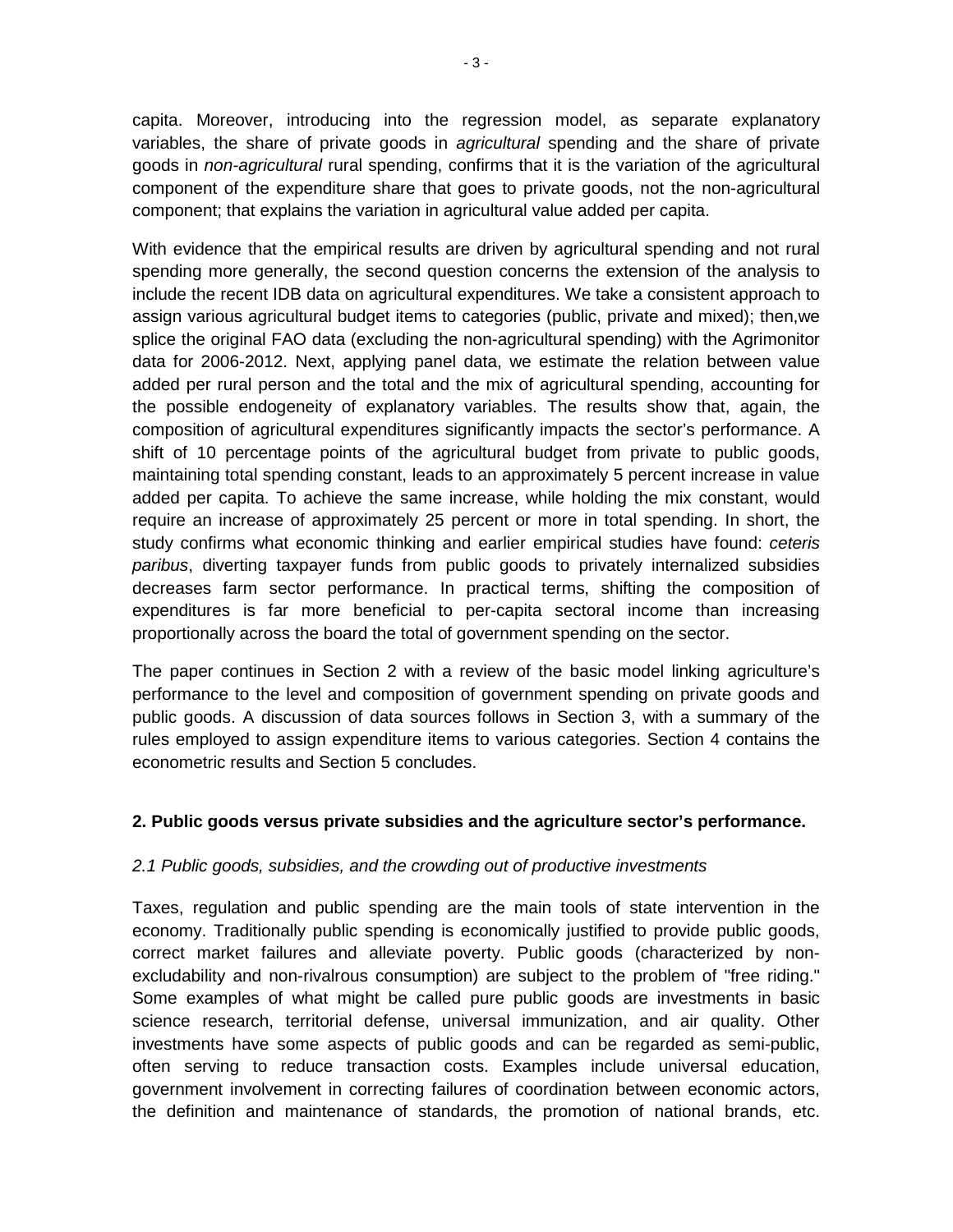capita. Moreover, introducing into the regression model, as separate explanatory variables, the share of private goods in *agricultural* spending and the share of private goods in *non-agricultural* rural spending, confirms that it is the variation of the agricultural component of the expenditure share that goes to private goods, not the non-agricultural component; that explains the variation in agricultural value added per capita.

With evidence that the empirical results are driven by agricultural spending and not rural spending more generally, the second question concerns the extension of the analysis to include the recent IDB data on agricultural expenditures. We take a consistent approach to assign various agricultural budget items to categories (public, private and mixed); then,we splice the original FAO data (excluding the non-agricultural spending) with the Agrimonitor data for 2006-2012. Next, applying panel data, we estimate the relation between value added per rural person and the total and the mix of agricultural spending, accounting for the possible endogeneity of explanatory variables. The results show that, again, the composition of agricultural expenditures significantly impacts the sector's performance. A shift of 10 percentage points of the agricultural budget from private to public goods, maintaining total spending constant, leads to an approximately 5 percent increase in value added per capita. To achieve the same increase, while holding the mix constant, would require an increase of approximately 25 percent or more in total spending. In short, the study confirms what economic thinking and earlier empirical studies have found: *ceteris paribus*, diverting taxpayer funds from public goods to privately internalized subsidies decreases farm sector performance. In practical terms, shifting the composition of expenditures is far more beneficial to per-capita sectoral income than increasing proportionally across the board the total of government spending on the sector.

The paper continues in Section 2 with a review of the basic model linking agriculture's performance to the level and composition of government spending on private goods and public goods. A discussion of data sources follows in Section 3, with a summary of the rules employed to assign expenditure items to various categories. Section 4 contains the econometric results and Section 5 concludes.

#### <span id="page-7-0"></span>**2. Public goods versus private subsidies and the agriculture sector's performance.**

#### <span id="page-7-1"></span>*2.1 Public goods, subsidies, and the crowding out of productive investments*

Taxes, regulation and public spending are the main tools of state intervention in the economy. Traditionally public spending is economically justified to provide public goods, correct market failures and alleviate poverty. Public goods (characterized by nonexcludability and non-rivalrous consumption) are subject to the problem of "free riding." Some examples of what might be called pure public goods are investments in basic science research, territorial defense, universal immunization, and air quality. Other investments have some aspects of public goods and can be regarded as semi-public, often serving to reduce transaction costs. Examples include universal education, government involvement in correcting failures of coordination between economic actors, the definition and maintenance of standards, the promotion of national brands, etc.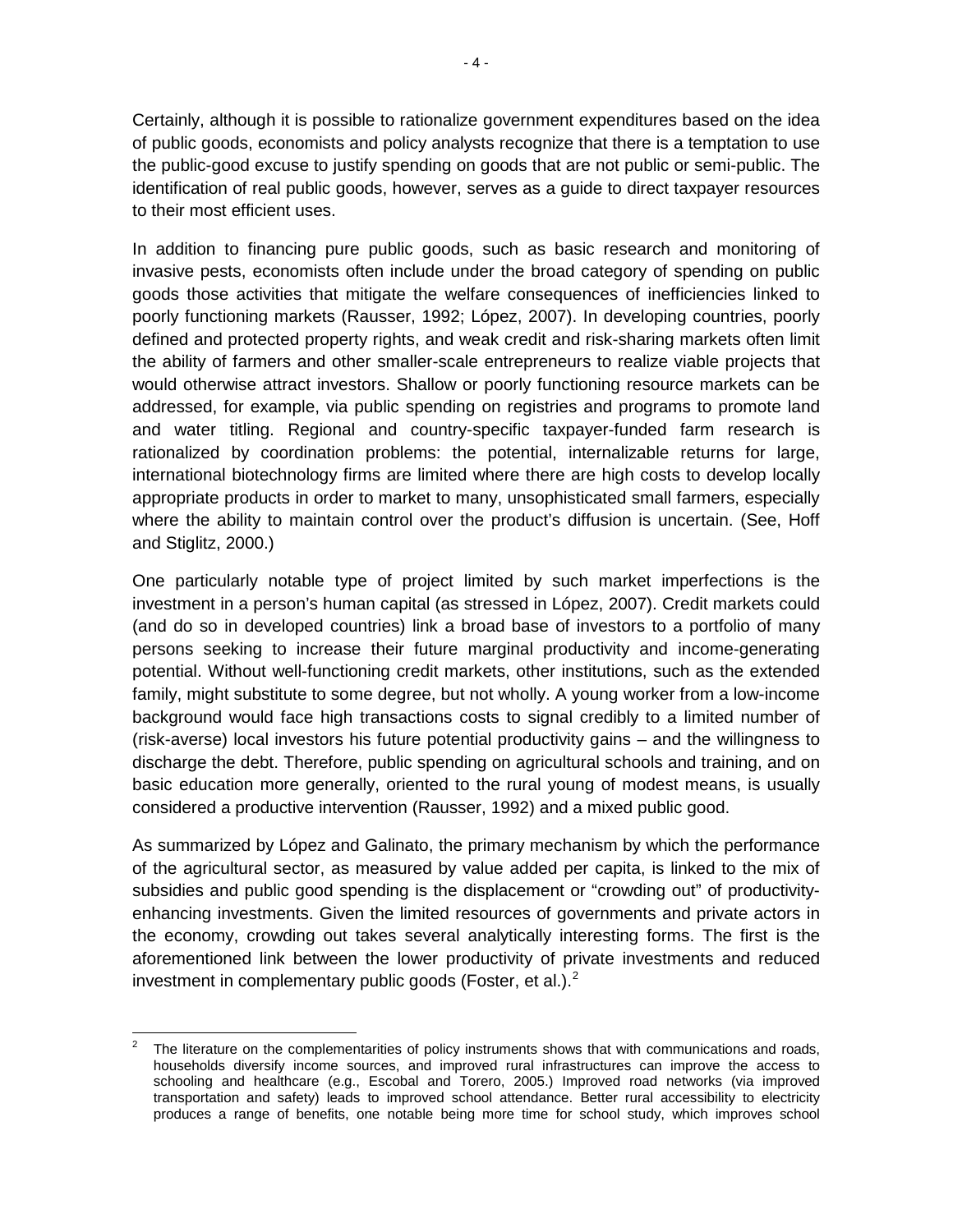Certainly, although it is possible to rationalize government expenditures based on the idea of public goods, economists and policy analysts recognize that there is a temptation to use the public-good excuse to justify spending on goods that are not public or semi-public. The identification of real public goods, however, serves as a guide to direct taxpayer resources to their most efficient uses.

In addition to financing pure public goods, such as basic research and monitoring of invasive pests, economists often include under the broad category of spending on public goods those activities that mitigate the welfare consequences of inefficiencies linked to poorly functioning markets (Rausser, 1992; López, 2007). In developing countries, poorly defined and protected property rights, and weak credit and risk-sharing markets often limit the ability of farmers and other smaller-scale entrepreneurs to realize viable projects that would otherwise attract investors. Shallow or poorly functioning resource markets can be addressed, for example, via public spending on registries and programs to promote land and water titling. Regional and country-specific taxpayer-funded farm research is rationalized by coordination problems: the potential, internalizable returns for large, international biotechnology firms are limited where there are high costs to develop locally appropriate products in order to market to many, unsophisticated small farmers, especially where the ability to maintain control over the product's diffusion is uncertain. (See, Hoff and Stiglitz, 2000.)

One particularly notable type of project limited by such market imperfections is the investment in a person's human capital (as stressed in López, 2007). Credit markets could (and do so in developed countries) link a broad base of investors to a portfolio of many persons seeking to increase their future marginal productivity and income-generating potential. Without well-functioning credit markets, other institutions, such as the extended family, might substitute to some degree, but not wholly. A young worker from a low-income background would face high transactions costs to signal credibly to a limited number of (risk-averse) local investors his future potential productivity gains – and the willingness to discharge the debt. Therefore, public spending on agricultural schools and training, and on basic education more generally, oriented to the rural young of modest means, is usually considered a productive intervention (Rausser, 1992) and a mixed public good.

As summarized by López and Galinato, the primary mechanism by which the performance of the agricultural sector, as measured by value added per capita, is linked to the mix of subsidies and public good spending is the displacement or "crowding out" of productivityenhancing investments. Given the limited resources of governments and private actors in the economy, crowding out takes several analytically interesting forms. The first is the aforementioned link between the lower productivity of private investments and reduced investment in complementary public goods (Foster, et al.).<sup>[2](#page-8-0)</sup>

<span id="page-8-0"></span>The literature on the complementarities of policy instruments shows that with communications and roads, households diversify income sources, and improved rural infrastructures can improve the access to schooling and healthcare (e.g., Escobal and Torero, 2005.) Improved road networks (via improved transportation and safety) leads to improved school attendance. Better rural accessibility to electricity produces a range of benefits, one notable being more time for school study, which improves school **.**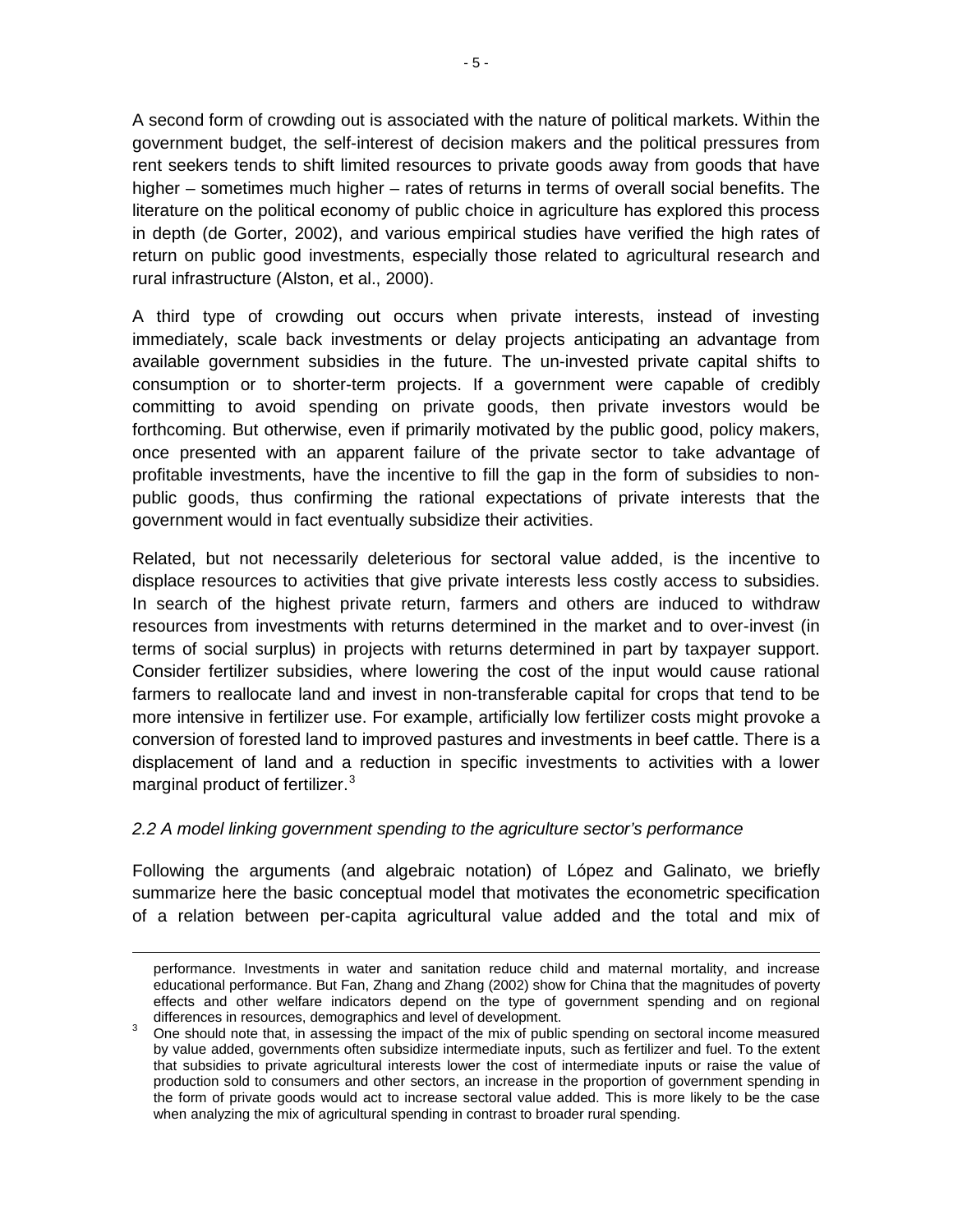A second form of crowding out is associated with the nature of political markets. Within the government budget, the self-interest of decision makers and the political pressures from rent seekers tends to shift limited resources to private goods away from goods that have higher – sometimes much higher – rates of returns in terms of overall social benefits. The literature on the political economy of public choice in agriculture has explored this process in depth (de Gorter, 2002), and various empirical studies have verified the high rates of return on public good investments, especially those related to agricultural research and rural infrastructure (Alston, et al., 2000).

A third type of crowding out occurs when private interests, instead of investing immediately, scale back investments or delay projects anticipating an advantage from available government subsidies in the future. The un-invested private capital shifts to consumption or to shorter-term projects. If a government were capable of credibly committing to avoid spending on private goods, then private investors would be forthcoming. But otherwise, even if primarily motivated by the public good, policy makers, once presented with an apparent failure of the private sector to take advantage of profitable investments, have the incentive to fill the gap in the form of subsidies to nonpublic goods, thus confirming the rational expectations of private interests that the government would in fact eventually subsidize their activities.

Related, but not necessarily deleterious for sectoral value added, is the incentive to displace resources to activities that give private interests less costly access to subsidies. In search of the highest private return, farmers and others are induced to withdraw resources from investments with returns determined in the market and to over-invest (in terms of social surplus) in projects with returns determined in part by taxpayer support. Consider fertilizer subsidies, where lowering the cost of the input would cause rational farmers to reallocate land and invest in non-transferable capital for crops that tend to be more intensive in fertilizer use. For example, artificially low fertilizer costs might provoke a conversion of forested land to improved pastures and investments in beef cattle. There is a displacement of land and a reduction in specific investments to activities with a lower marginal product of fertilizer.<sup>[3](#page-9-1)</sup>

#### <span id="page-9-0"></span>*2.2 A model linking government spending to the agriculture sector's performance*

**.** 

Following the arguments (and algebraic notation) of López and Galinato, we briefly summarize here the basic conceptual model that motivates the econometric specification of a relation between per-capita agricultural value added and the total and mix of

performance. Investments in water and sanitation reduce child and maternal mortality, and increase educational performance. But Fan, Zhang and Zhang (2002) show for China that the magnitudes of poverty effects and other welfare indicators depend on the type of government spending and on regional differences in resources, demographics and level of development.

<span id="page-9-1"></span>differences in resources, demographics and level of development.  $\frac{1}{2}$  One should note that, in assessing the impact of the mix of public spending on sectoral income measured by value added, governments often subsidize intermediate inputs, such as fertilizer and fuel. To the extent that subsidies to private agricultural interests lower the cost of intermediate inputs or raise the value of production sold to consumers and other sectors, an increase in the proportion of government spending in the form of private goods would act to increase sectoral value added. This is more likely to be the case when analyzing the mix of agricultural spending in contrast to broader rural spending.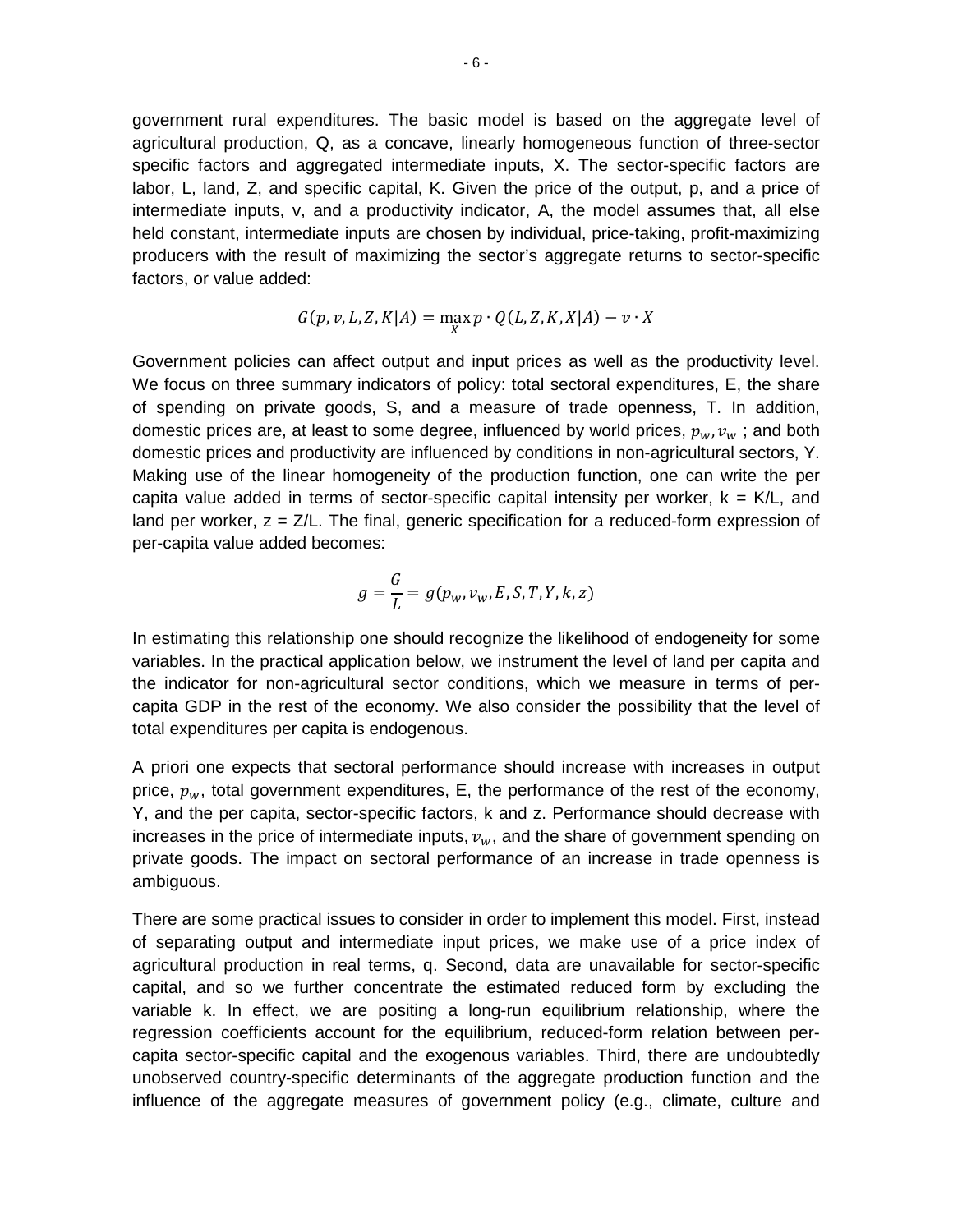government rural expenditures. The basic model is based on the aggregate level of agricultural production, Q, as a concave, linearly homogeneous function of three-sector specific factors and aggregated intermediate inputs, X. The sector-specific factors are labor, L, land, Z, and specific capital, K. Given the price of the output, p, and a price of intermediate inputs, v, and a productivity indicator, A, the model assumes that, all else held constant, intermediate inputs are chosen by individual, price-taking, profit-maximizing producers with the result of maximizing the sector's aggregate returns to sector-specific factors, or value added:

$$
G(p, v, L, Z, K|A) = \max_{X} p \cdot Q(L, Z, K, X|A) - v \cdot X
$$

Government policies can affect output and input prices as well as the productivity level. We focus on three summary indicators of policy: total sectoral expenditures, E, the share of spending on private goods, S, and a measure of trade openness, T. In addition, domestic prices are, at least to some degree, influenced by world prices,  $p_w, v_w$ ; and both domestic prices and productivity are influenced by conditions in non-agricultural sectors, Y. Making use of the linear homogeneity of the production function, one can write the per capita value added in terms of sector-specific capital intensity per worker,  $k = K/L$ , and land per worker,  $z = Z/L$ . The final, generic specification for a reduced-form expression of per-capita value added becomes:

$$
g = \frac{G}{L} = g(p_w, v_w, E, S, T, Y, k, z)
$$

In estimating this relationship one should recognize the likelihood of endogeneity for some variables. In the practical application below, we instrument the level of land per capita and the indicator for non-agricultural sector conditions, which we measure in terms of percapita GDP in the rest of the economy. We also consider the possibility that the level of total expenditures per capita is endogenous.

A priori one expects that sectoral performance should increase with increases in output price,  $p_w$ , total government expenditures, E, the performance of the rest of the economy, Y, and the per capita, sector-specific factors, k and z. Performance should decrease with increases in the price of intermediate inputs,  $v_w$ , and the share of government spending on private goods. The impact on sectoral performance of an increase in trade openness is ambiguous.

There are some practical issues to consider in order to implement this model. First, instead of separating output and intermediate input prices, we make use of a price index of agricultural production in real terms, q. Second, data are unavailable for sector-specific capital, and so we further concentrate the estimated reduced form by excluding the variable k. In effect, we are positing a long-run equilibrium relationship, where the regression coefficients account for the equilibrium, reduced-form relation between percapita sector-specific capital and the exogenous variables. Third, there are undoubtedly unobserved country-specific determinants of the aggregate production function and the influence of the aggregate measures of government policy (e.g., climate, culture and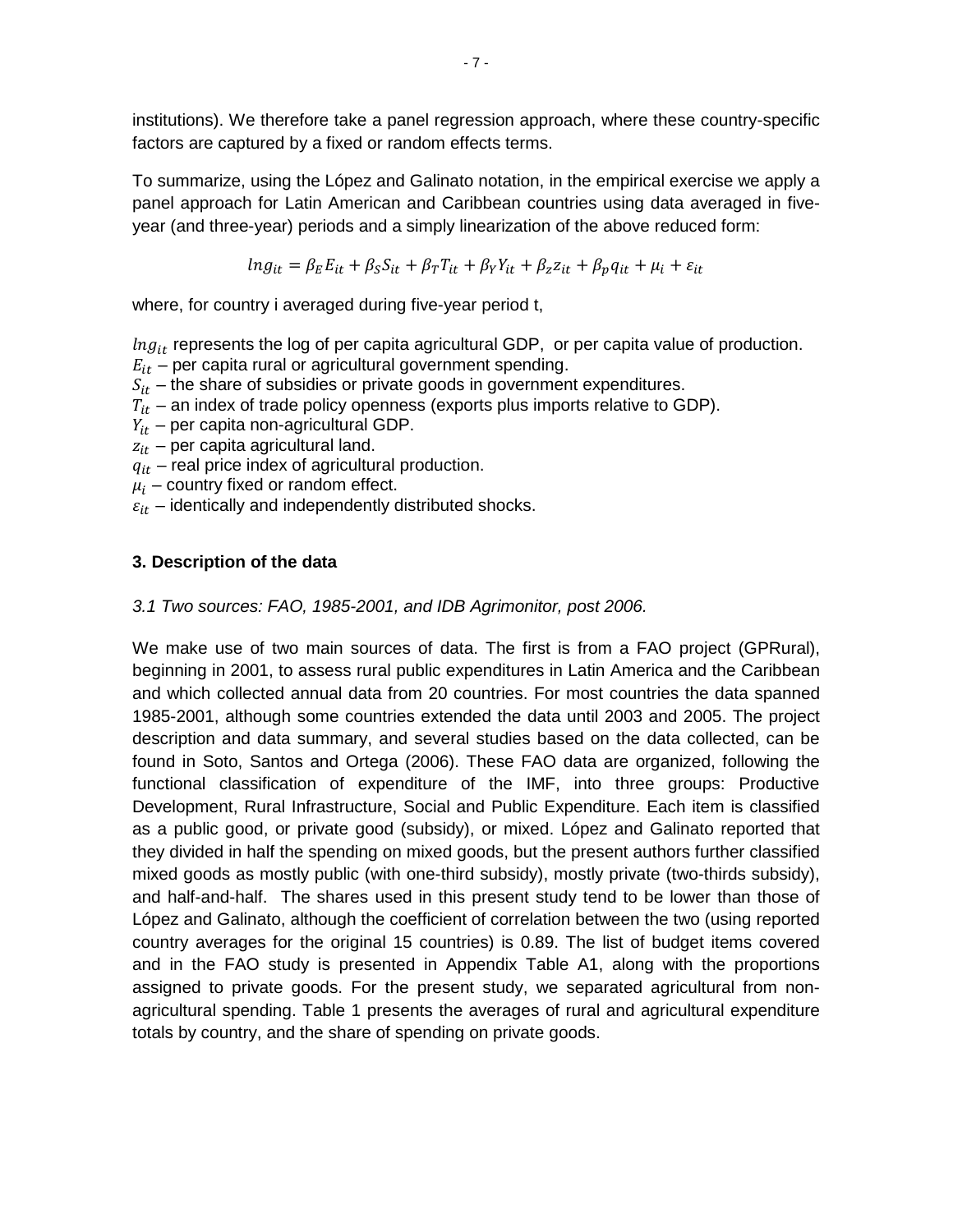institutions). We therefore take a panel regression approach, where these country-specific factors are captured by a fixed or random effects terms.

To summarize, using the López and Galinato notation, in the empirical exercise we apply a panel approach for Latin American and Caribbean countries using data averaged in fiveyear (and three-year) periods and a simply linearization of the above reduced form:

$$
ln g_{it} = \beta_E E_{it} + \beta_S S_{it} + \beta_T T_{it} + \beta_Y Y_{it} + \beta_z z_{it} + \beta_p q_{it} + \mu_i + \varepsilon_{it}
$$

where, for country i averaged during five-year period t,

 $Ing_{it}$  represents the log of per capita agricultural GDP, or per capita value of production.

 $E_{it}$  – per capita rural or agricultural government spending.

 $S_{it}$  – the share of subsidies or private goods in government expenditures.

- $T_{it}$  an index of trade policy openness (exports plus imports relative to GDP).
- $Y_{it}$  per capita non-agricultural GDP.
- $z_{it}$  per capita agricultural land.
- $q_{it}$  real price index of agricultural production.
- $\mu_i$  country fixed or random effect.
- <span id="page-11-0"></span> $\varepsilon_{it}$  – identically and independently distributed shocks.

#### **3. Description of the data**

#### <span id="page-11-1"></span>*3.1 Two sources: FAO, 1985-2001, and IDB Agrimonitor, post 2006.*

We make use of two main sources of data. The first is from a FAO project (GPRural), beginning in 2001, to assess rural public expenditures in Latin America and the Caribbean and which collected annual data from 20 countries. For most countries the data spanned 1985-2001, although some countries extended the data until 2003 and 2005. The project description and data summary, and several studies based on the data collected, can be found in Soto, Santos and Ortega (2006). These FAO data are organized, following the functional classification of expenditure of the IMF, into three groups: Productive Development, Rural Infrastructure, Social and Public Expenditure. Each item is classified as a public good, or private good (subsidy), or mixed. López and Galinato reported that they divided in half the spending on mixed goods, but the present authors further classified mixed goods as mostly public (with one-third subsidy), mostly private (two-thirds subsidy), and half-and-half. The shares used in this present study tend to be lower than those of López and Galinato, although the coefficient of correlation between the two (using reported country averages for the original 15 countries) is 0.89. The list of budget items covered and in the FAO study is presented in Appendix Table A1, along with the proportions assigned to private goods. For the present study, we separated agricultural from nonagricultural spending. Table 1 presents the averages of rural and agricultural expenditure totals by country, and the share of spending on private goods.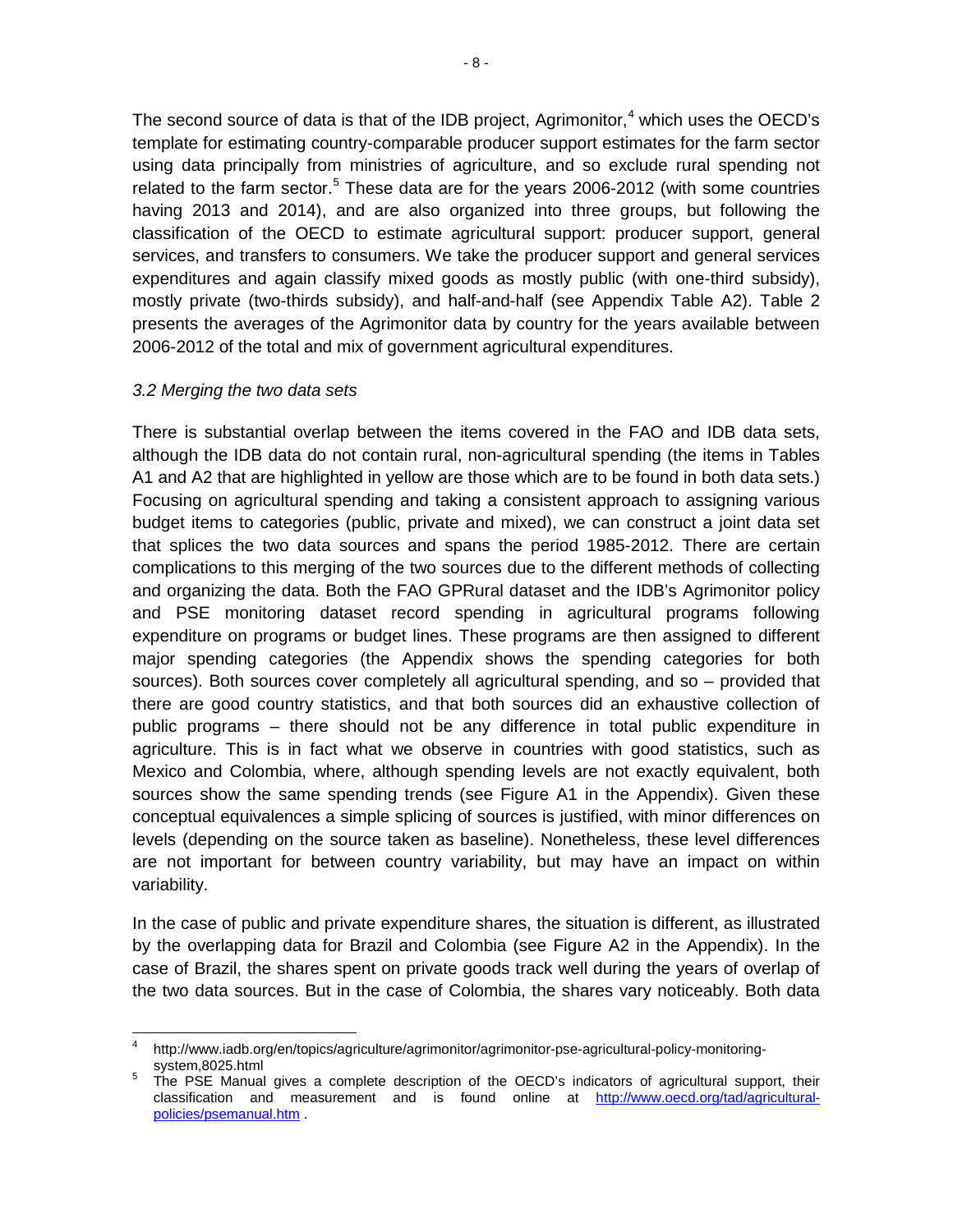The second source of data is that of the IDB project, Agrimonitor, [4](#page-12-1) which uses the OECD's template for estimating country-comparable producer support estimates for the farm sector using data principally from ministries of agriculture, and so exclude rural spending not related to the farm sector.<sup>[5](#page-12-2)</sup> These data are for the years 2006-2012 (with some countries having 2013 and 2014), and are also organized into three groups, but following the classification of the OECD to estimate agricultural support: producer support, general services, and transfers to consumers. We take the producer support and general services expenditures and again classify mixed goods as mostly public (with one-third subsidy), mostly private (two-thirds subsidy), and half-and-half (see Appendix Table A2). Table 2 presents the averages of the Agrimonitor data by country for the years available between 2006-2012 of the total and mix of government agricultural expenditures.

#### <span id="page-12-0"></span>*3.2 Merging the two data sets*

**.** 

There is substantial overlap between the items covered in the FAO and IDB data sets, although the IDB data do not contain rural, non-agricultural spending (the items in Tables A1 and A2 that are highlighted in yellow are those which are to be found in both data sets.) Focusing on agricultural spending and taking a consistent approach to assigning various budget items to categories (public, private and mixed), we can construct a joint data set that splices the two data sources and spans the period 1985-2012. There are certain complications to this merging of the two sources due to the different methods of collecting and organizing the data. Both the FAO GPRural dataset and the IDB's Agrimonitor policy and PSE monitoring dataset record spending in agricultural programs following expenditure on programs or budget lines. These programs are then assigned to different major spending categories (the Appendix shows the spending categories for both sources). Both sources cover completely all agricultural spending, and so – provided that there are good country statistics, and that both sources did an exhaustive collection of public programs – there should not be any difference in total public expenditure in agriculture. This is in fact what we observe in countries with good statistics, such as Mexico and Colombia, where, although spending levels are not exactly equivalent, both sources show the same spending trends (see Figure A1 in the Appendix). Given these conceptual equivalences a simple splicing of sources is justified, with minor differences on levels (depending on the source taken as baseline). Nonetheless, these level differences are not important for between country variability, but may have an impact on within variability.

In the case of public and private expenditure shares, the situation is different, as illustrated by the overlapping data for Brazil and Colombia (see Figure A2 in the Appendix). In the case of Brazil, the shares spent on private goods track well during the years of overlap of the two data sources. But in the case of Colombia, the shares vary noticeably. Both data

<span id="page-12-1"></span>http://www.iadb.org/en/topics/agriculture/agrimonitor/agrimonitor-pse-agricultural-policy-monitoring-<br>system,8025.html

<span id="page-12-2"></span>system,8025.html<br>The PSE Manual gives a complete description of the OECD's indicators of agricultural support, their classification and measurement and is found online at [http://www.oecd.org/tad/agricultural](http://www.oecd.org/tad/agricultural-policies/psemanual.htm)[policies/psemanual.htm](http://www.oecd.org/tad/agricultural-policies/psemanual.htm) .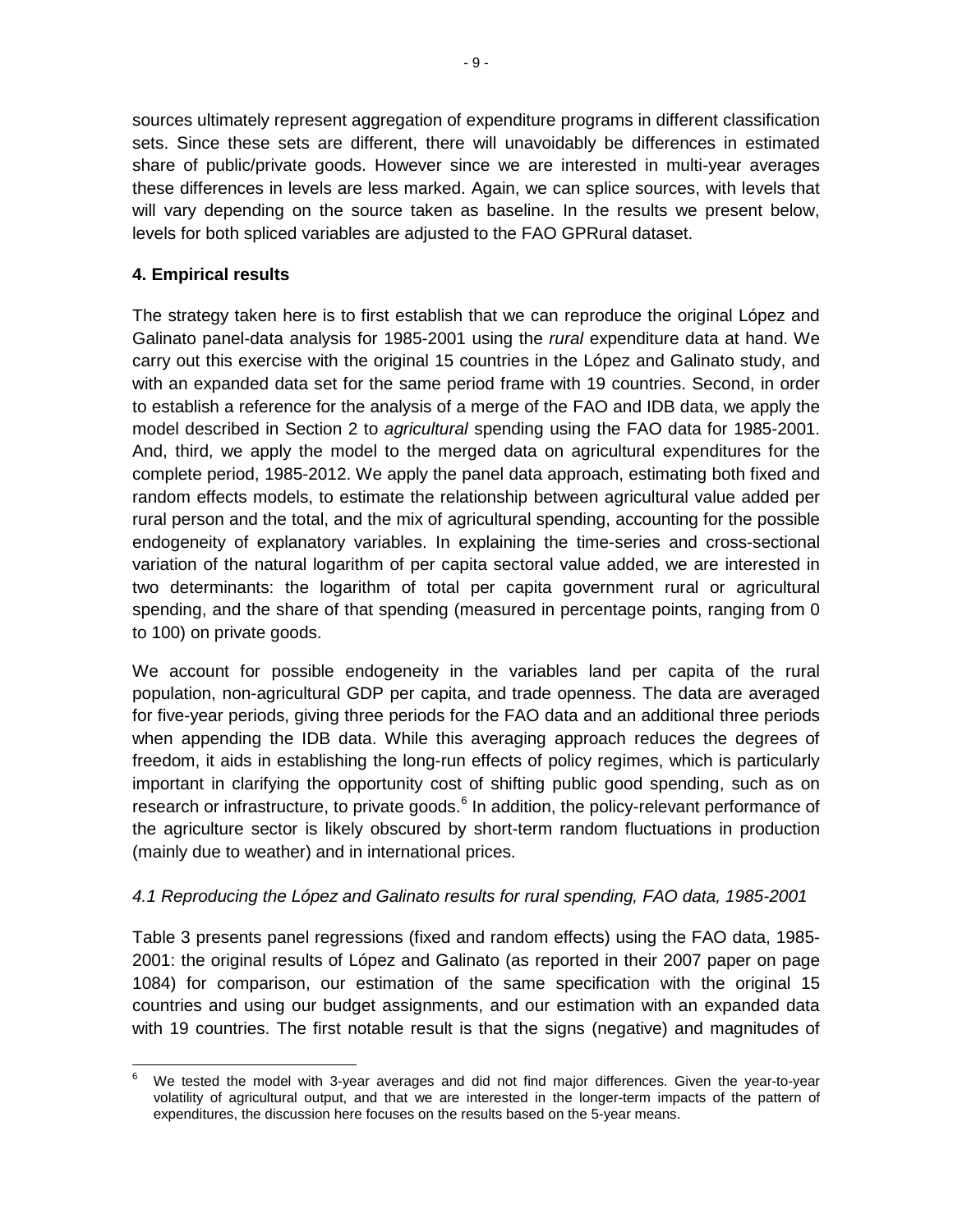sources ultimately represent aggregation of expenditure programs in different classification sets. Since these sets are different, there will unavoidably be differences in estimated share of public/private goods. However since we are interested in multi-year averages these differences in levels are less marked. Again, we can splice sources, with levels that will vary depending on the source taken as baseline. In the results we present below, levels for both spliced variables are adjusted to the FAO GPRural dataset.

#### <span id="page-13-0"></span>**4. Empirical results**

The strategy taken here is to first establish that we can reproduce the original López and Galinato panel-data analysis for 1985-2001 using the *rural* expenditure data at hand. We carry out this exercise with the original 15 countries in the López and Galinato study, and with an expanded data set for the same period frame with 19 countries. Second, in order to establish a reference for the analysis of a merge of the FAO and IDB data, we apply the model described in Section 2 to *agricultural* spending using the FAO data for 1985-2001. And, third, we apply the model to the merged data on agricultural expenditures for the complete period, 1985-2012. We apply the panel data approach, estimating both fixed and random effects models, to estimate the relationship between agricultural value added per rural person and the total, and the mix of agricultural spending, accounting for the possible endogeneity of explanatory variables. In explaining the time-series and cross-sectional variation of the natural logarithm of per capita sectoral value added, we are interested in two determinants: the logarithm of total per capita government rural or agricultural spending, and the share of that spending (measured in percentage points, ranging from 0 to 100) on private goods.

We account for possible endogeneity in the variables land per capita of the rural population, non-agricultural GDP per capita, and trade openness. The data are averaged for five-year periods, giving three periods for the FAO data and an additional three periods when appending the IDB data. While this averaging approach reduces the degrees of freedom, it aids in establishing the long-run effects of policy regimes, which is particularly important in clarifying the opportunity cost of shifting public good spending, such as on research or infrastructure, to private goods.<sup>[6](#page-13-2)</sup> In addition, the policy-relevant performance of the agriculture sector is likely obscured by short-term random fluctuations in production (mainly due to weather) and in international prices.

#### <span id="page-13-1"></span>*4.1 Reproducing the López and Galinato results for rural spending, FAO data, 1985-2001*

Table 3 presents panel regressions (fixed and random effects) using the FAO data, 1985- 2001: the original results of López and Galinato (as reported in their 2007 paper on page 1084) for comparison, our estimation of the same specification with the original 15 countries and using our budget assignments, and our estimation with an expanded data with 19 countries. The first notable result is that the signs (negative) and magnitudes of

<span id="page-13-2"></span>We tested the model with 3-year averages and did not find major differences. Given the year-to-year volatility of agricultural output, and that we are interested in the longer-term impacts of the pattern of expenditures, the discussion here focuses on the results based on the 5-year means.  $\overline{\phantom{a}}$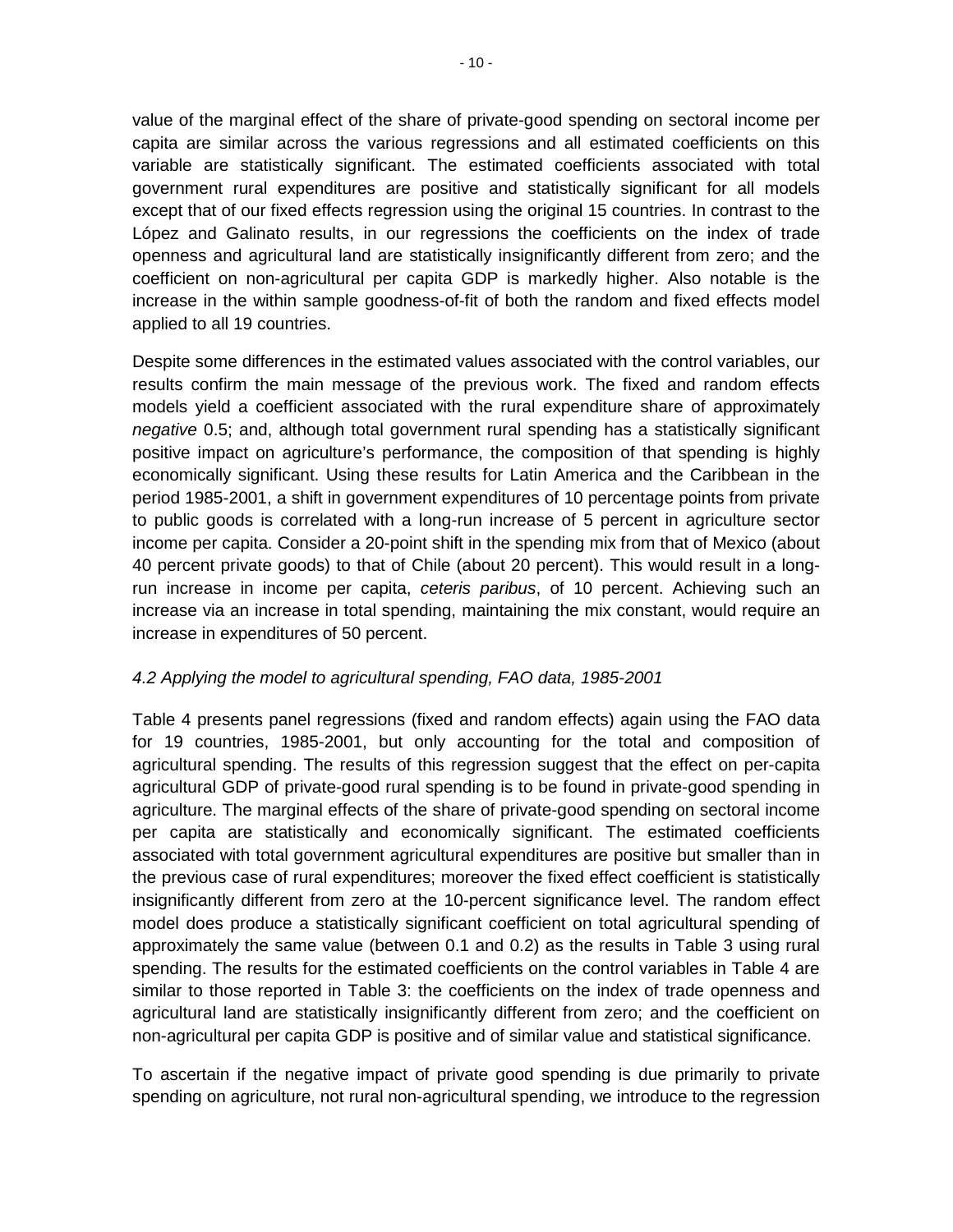value of the marginal effect of the share of private-good spending on sectoral income per capita are similar across the various regressions and all estimated coefficients on this variable are statistically significant. The estimated coefficients associated with total government rural expenditures are positive and statistically significant for all models except that of our fixed effects regression using the original 15 countries. In contrast to the López and Galinato results, in our regressions the coefficients on the index of trade openness and agricultural land are statistically insignificantly different from zero; and the coefficient on non-agricultural per capita GDP is markedly higher. Also notable is the increase in the within sample goodness-of-fit of both the random and fixed effects model applied to all 19 countries.

Despite some differences in the estimated values associated with the control variables, our results confirm the main message of the previous work. The fixed and random effects models yield a coefficient associated with the rural expenditure share of approximately *negative* 0.5; and, although total government rural spending has a statistically significant positive impact on agriculture's performance, the composition of that spending is highly economically significant. Using these results for Latin America and the Caribbean in the period 1985-2001, a shift in government expenditures of 10 percentage points from private to public goods is correlated with a long-run increase of 5 percent in agriculture sector income per capita. Consider a 20-point shift in the spending mix from that of Mexico (about 40 percent private goods) to that of Chile (about 20 percent). This would result in a longrun increase in income per capita, *ceteris paribus*, of 10 percent. Achieving such an increase via an increase in total spending, maintaining the mix constant, would require an increase in expenditures of 50 percent.

#### <span id="page-14-0"></span>*4.2 Applying the model to agricultural spending, FAO data, 1985-2001*

Table 4 presents panel regressions (fixed and random effects) again using the FAO data for 19 countries, 1985-2001, but only accounting for the total and composition of agricultural spending. The results of this regression suggest that the effect on per-capita agricultural GDP of private-good rural spending is to be found in private-good spending in agriculture. The marginal effects of the share of private-good spending on sectoral income per capita are statistically and economically significant. The estimated coefficients associated with total government agricultural expenditures are positive but smaller than in the previous case of rural expenditures; moreover the fixed effect coefficient is statistically insignificantly different from zero at the 10-percent significance level. The random effect model does produce a statistically significant coefficient on total agricultural spending of approximately the same value (between 0.1 and 0.2) as the results in Table 3 using rural spending. The results for the estimated coefficients on the control variables in Table 4 are similar to those reported in Table 3: the coefficients on the index of trade openness and agricultural land are statistically insignificantly different from zero; and the coefficient on non-agricultural per capita GDP is positive and of similar value and statistical significance.

To ascertain if the negative impact of private good spending is due primarily to private spending on agriculture, not rural non-agricultural spending, we introduce to the regression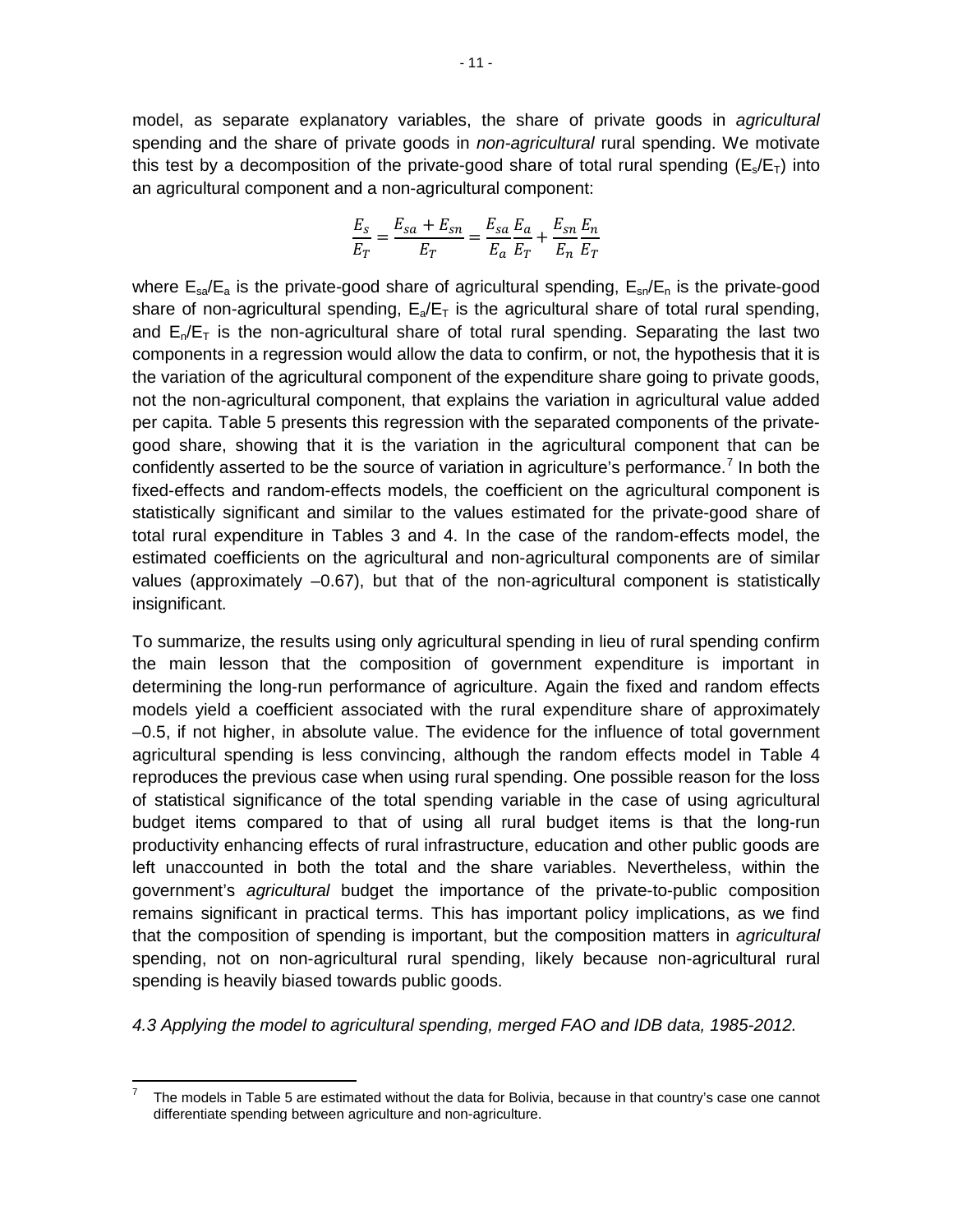model, as separate explanatory variables, the share of private goods in *agricultural* spending and the share of private goods in *non-agricultural* rural spending. We motivate this test by a decomposition of the private-good share of total rural spending ( $E_s/E_T$ ) into an agricultural component and a non-agricultural component:

$$
\frac{E_s}{E_T} = \frac{E_{sa}+E_{sn}}{E_T} = \frac{E_{sa}}{E_a}\frac{E_a}{E_T} + \frac{E_{sn}}{E_n}\frac{E_n}{E_T}
$$

where  $E_{\text{sa}}/E_{\text{a}}$  is the private-good share of agricultural spending,  $E_{\text{sa}}/E_{\text{n}}$  is the private-good share of non-agricultural spending,  $E_a/E_T$  is the agricultural share of total rural spending, and  $E_n/E_T$  is the non-agricultural share of total rural spending. Separating the last two components in a regression would allow the data to confirm, or not, the hypothesis that it is the variation of the agricultural component of the expenditure share going to private goods, not the non-agricultural component, that explains the variation in agricultural value added per capita. Table 5 presents this regression with the separated components of the privategood share, showing that it is the variation in the agricultural component that can be confidently asserted to be the source of variation in agriculture's performance.<sup>[7](#page-15-1)</sup> In both the fixed-effects and random-effects models, the coefficient on the agricultural component is statistically significant and similar to the values estimated for the private-good share of total rural expenditure in Tables 3 and 4. In the case of the random-effects model, the estimated coefficients on the agricultural and non-agricultural components are of similar values (approximately –0.67), but that of the non-agricultural component is statistically insignificant.

To summarize, the results using only agricultural spending in lieu of rural spending confirm the main lesson that the composition of government expenditure is important in determining the long-run performance of agriculture. Again the fixed and random effects models yield a coefficient associated with the rural expenditure share of approximately –0.5, if not higher, in absolute value. The evidence for the influence of total government agricultural spending is less convincing, although the random effects model in Table 4 reproduces the previous case when using rural spending. One possible reason for the loss of statistical significance of the total spending variable in the case of using agricultural budget items compared to that of using all rural budget items is that the long-run productivity enhancing effects of rural infrastructure, education and other public goods are left unaccounted in both the total and the share variables. Nevertheless, within the government's *agricultural* budget the importance of the private-to-public composition remains significant in practical terms. This has important policy implications, as we find that the composition of spending is important, but the composition matters in *agricultural* spending, not on non-agricultural rural spending, likely because non-agricultural rural spending is heavily biased towards public goods.

<span id="page-15-0"></span>*4.3 Applying the model to agricultural spending, merged FAO and IDB data, 1985-2012.*

<span id="page-15-1"></span><sup>7</sup> The models in Table 5 are estimated without the data for Bolivia, because in that country's case one cannot differentiate spending between agriculture and non-agriculture. **.**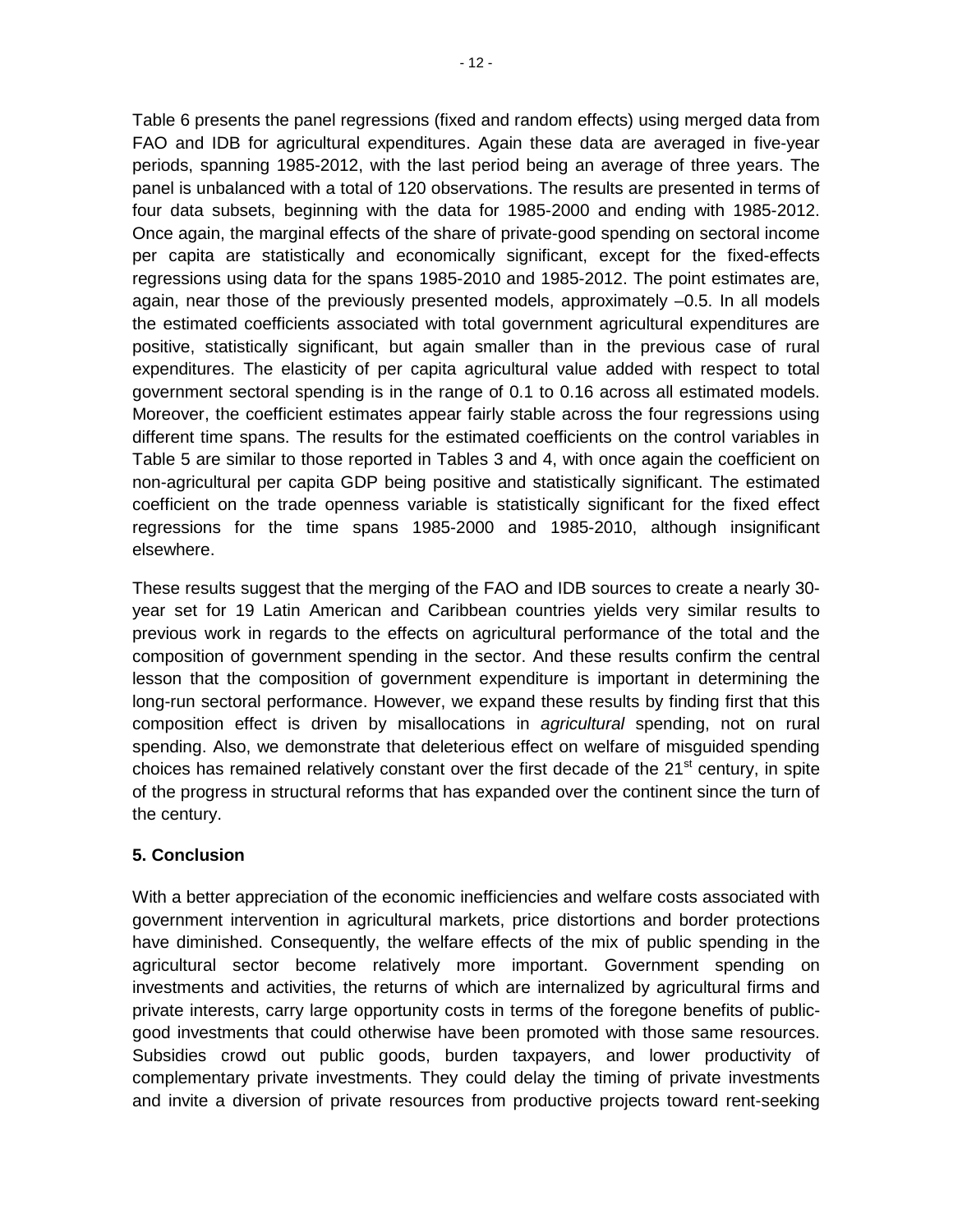Table 6 presents the panel regressions (fixed and random effects) using merged data from FAO and IDB for agricultural expenditures. Again these data are averaged in five-year periods, spanning 1985-2012, with the last period being an average of three years. The panel is unbalanced with a total of 120 observations. The results are presented in terms of four data subsets, beginning with the data for 1985-2000 and ending with 1985-2012. Once again, the marginal effects of the share of private-good spending on sectoral income per capita are statistically and economically significant, except for the fixed-effects regressions using data for the spans 1985-2010 and 1985-2012. The point estimates are, again, near those of the previously presented models, approximately –0.5. In all models the estimated coefficients associated with total government agricultural expenditures are positive, statistically significant, but again smaller than in the previous case of rural expenditures. The elasticity of per capita agricultural value added with respect to total government sectoral spending is in the range of 0.1 to 0.16 across all estimated models. Moreover, the coefficient estimates appear fairly stable across the four regressions using different time spans. The results for the estimated coefficients on the control variables in Table 5 are similar to those reported in Tables 3 and 4, with once again the coefficient on non-agricultural per capita GDP being positive and statistically significant. The estimated coefficient on the trade openness variable is statistically significant for the fixed effect regressions for the time spans 1985-2000 and 1985-2010, although insignificant elsewhere.

These results suggest that the merging of the FAO and IDB sources to create a nearly 30 year set for 19 Latin American and Caribbean countries yields very similar results to previous work in regards to the effects on agricultural performance of the total and the composition of government spending in the sector. And these results confirm the central lesson that the composition of government expenditure is important in determining the long-run sectoral performance. However, we expand these results by finding first that this composition effect is driven by misallocations in *agricultural* spending, not on rural spending. Also, we demonstrate that deleterious effect on welfare of misguided spending choices has remained relatively constant over the first decade of the  $21<sup>st</sup>$  century, in spite of the progress in structural reforms that has expanded over the continent since the turn of the century.

#### <span id="page-16-0"></span>**5. Conclusion**

With a better appreciation of the economic inefficiencies and welfare costs associated with government intervention in agricultural markets, price distortions and border protections have diminished. Consequently, the welfare effects of the mix of public spending in the agricultural sector become relatively more important. Government spending on investments and activities, the returns of which are internalized by agricultural firms and private interests, carry large opportunity costs in terms of the foregone benefits of publicgood investments that could otherwise have been promoted with those same resources. Subsidies crowd out public goods, burden taxpayers, and lower productivity of complementary private investments. They could delay the timing of private investments and invite a diversion of private resources from productive projects toward rent-seeking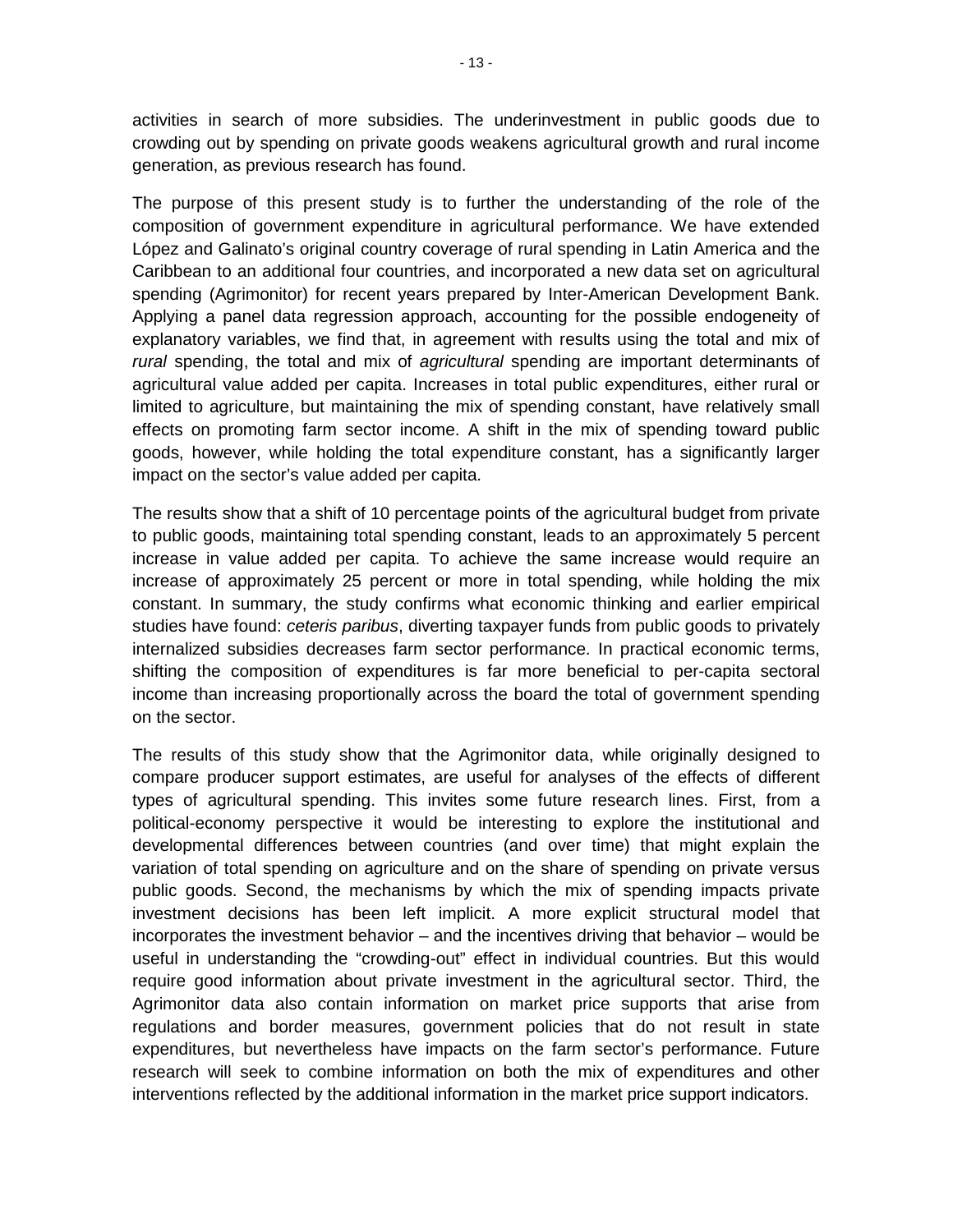activities in search of more subsidies. The underinvestment in public goods due to crowding out by spending on private goods weakens agricultural growth and rural income generation, as previous research has found.

The purpose of this present study is to further the understanding of the role of the composition of government expenditure in agricultural performance. We have extended López and Galinato's original country coverage of rural spending in Latin America and the Caribbean to an additional four countries, and incorporated a new data set on agricultural spending (Agrimonitor) for recent years prepared by Inter-American Development Bank. Applying a panel data regression approach, accounting for the possible endogeneity of explanatory variables, we find that, in agreement with results using the total and mix of *rural* spending, the total and mix of *agricultural* spending are important determinants of agricultural value added per capita. Increases in total public expenditures, either rural or limited to agriculture, but maintaining the mix of spending constant, have relatively small effects on promoting farm sector income. A shift in the mix of spending toward public goods, however, while holding the total expenditure constant, has a significantly larger impact on the sector's value added per capita.

The results show that a shift of 10 percentage points of the agricultural budget from private to public goods, maintaining total spending constant, leads to an approximately 5 percent increase in value added per capita. To achieve the same increase would require an increase of approximately 25 percent or more in total spending, while holding the mix constant. In summary, the study confirms what economic thinking and earlier empirical studies have found: *ceteris paribus*, diverting taxpayer funds from public goods to privately internalized subsidies decreases farm sector performance. In practical economic terms, shifting the composition of expenditures is far more beneficial to per-capita sectoral income than increasing proportionally across the board the total of government spending on the sector.

The results of this study show that the Agrimonitor data, while originally designed to compare producer support estimates, are useful for analyses of the effects of different types of agricultural spending. This invites some future research lines. First, from a political-economy perspective it would be interesting to explore the institutional and developmental differences between countries (and over time) that might explain the variation of total spending on agriculture and on the share of spending on private versus public goods. Second, the mechanisms by which the mix of spending impacts private investment decisions has been left implicit. A more explicit structural model that incorporates the investment behavior – and the incentives driving that behavior – would be useful in understanding the "crowding-out" effect in individual countries. But this would require good information about private investment in the agricultural sector. Third, the Agrimonitor data also contain information on market price supports that arise from regulations and border measures, government policies that do not result in state expenditures, but nevertheless have impacts on the farm sector's performance. Future research will seek to combine information on both the mix of expenditures and other interventions reflected by the additional information in the market price support indicators.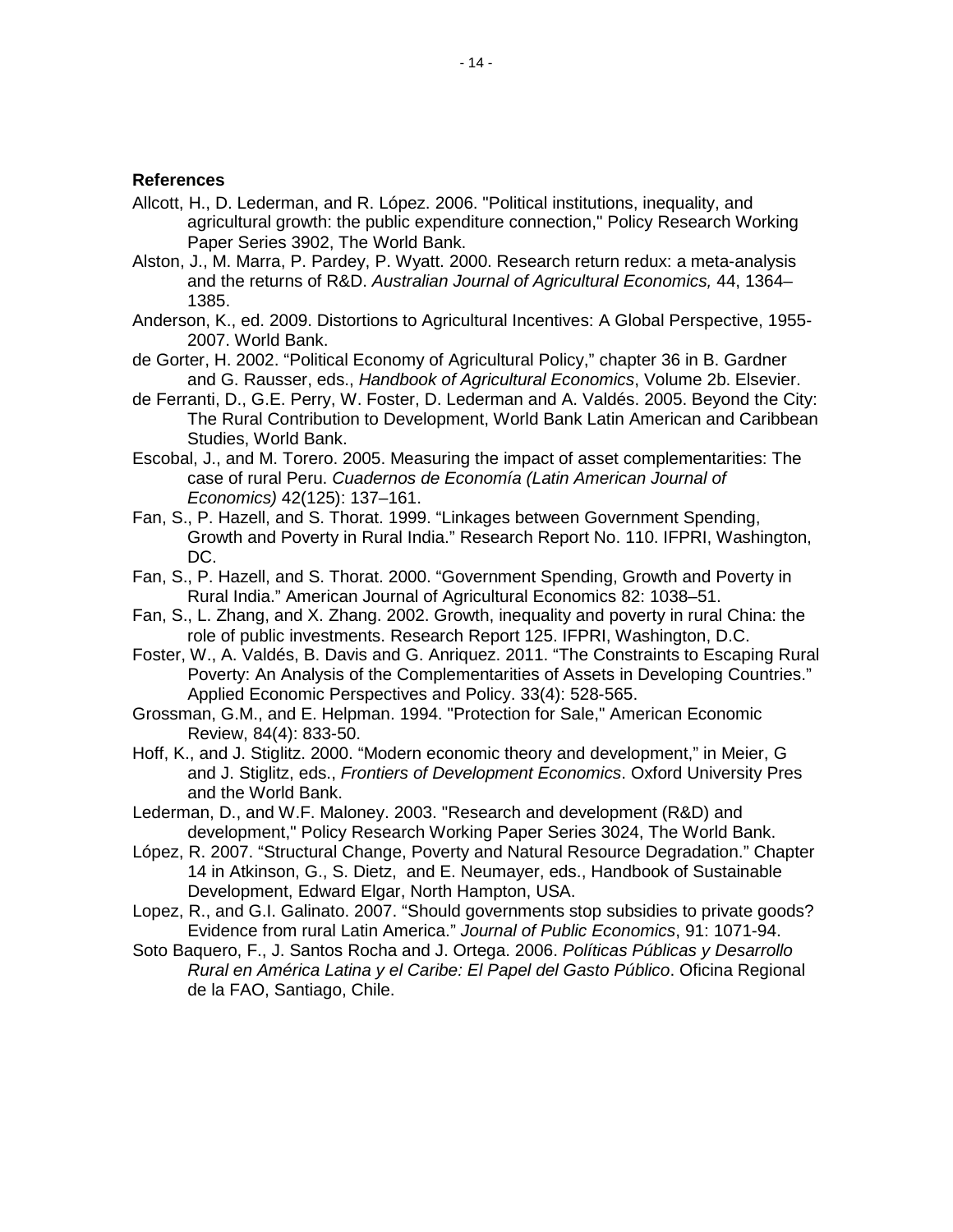#### <span id="page-18-0"></span>**References**

- Allcott, H., D. Lederman, and R. López. 2006. "Political institutions, inequality, and agricultural growth: the public expenditure connection," Policy Research Working Paper Series 3902, The World Bank.
- Alston, J., M. Marra, P. Pardey, P. Wyatt. 2000. Research return redux: a meta-analysis and the returns of R&D. *Australian Journal of Agricultural Economics,* 44, 1364– 1385.
- Anderson, K., ed. 2009. Distortions to Agricultural Incentives: A Global Perspective, 1955- 2007. World Bank.
- de Gorter, H. 2002. "Political Economy of Agricultural Policy," chapter 36 in B. Gardner and G. Rausser, eds., *Handbook of Agricultural Economics*, Volume 2b. Elsevier.
- de Ferranti, D., G.E. Perry, W. Foster, D. Lederman and A. Valdés. 2005. Beyond the City: The Rural Contribution to Development, World Bank Latin American and Caribbean Studies, World Bank.
- Escobal, J., and M. Torero. 2005. Measuring the impact of asset complementarities: The case of rural Peru. *Cuadernos de Economía (Latin American Journal of Economics)* 42(125): 137–161.
- Fan, S., P. Hazell, and S. Thorat. 1999. "Linkages between Government Spending, Growth and Poverty in Rural India." Research Report No. 110. IFPRI, Washington, DC.
- Fan, S., P. Hazell, and S. Thorat. 2000. "Government Spending, Growth and Poverty in Rural India." American Journal of Agricultural Economics 82: 1038–51.
- Fan, S., L. Zhang, and X. Zhang. 2002. Growth, inequality and poverty in rural China: the role of public investments. Research Report 125. IFPRI, Washington, D.C.
- Foster, W., A. Valdés, B. Davis and G. Anriquez. 2011. "The Constraints to Escaping Rural Poverty: An Analysis of the Complementarities of Assets in Developing Countries." Applied Economic Perspectives and Policy. 33(4): 528-565.
- Grossman, G.M., and E. Helpman. 1994. "Protection for Sale," American Economic Review, 84(4): 833-50.
- Hoff, K., and J. Stiglitz. 2000. "Modern economic theory and development," in Meier, G and J. Stiglitz, eds., *Frontiers of Development Economics*. Oxford University Pres and the World Bank.
- Lederman, D., and W.F. Maloney. 2003. "Research and development (R&D) and development," Policy Research Working Paper Series 3024, The World Bank.
- López, R. 2007. "Structural Change, Poverty and Natural Resource Degradation." Chapter 14 in Atkinson, G., S. Dietz, and E. Neumayer, eds., Handbook of Sustainable Development, Edward Elgar, North Hampton, USA.
- Lopez, R., and G.I. Galinato. 2007. "Should governments stop subsidies to private goods? Evidence from rural Latin America." *Journal of Public Economics*, 91: 1071-94.
- Soto Baquero, F., J. Santos Rocha and J. Ortega. 2006. *Políticas Públicas y Desarrollo Rural en América Latina y el Caribe: El Papel del Gasto Público*. Oficina Regional de la FAO, Santiago, Chile.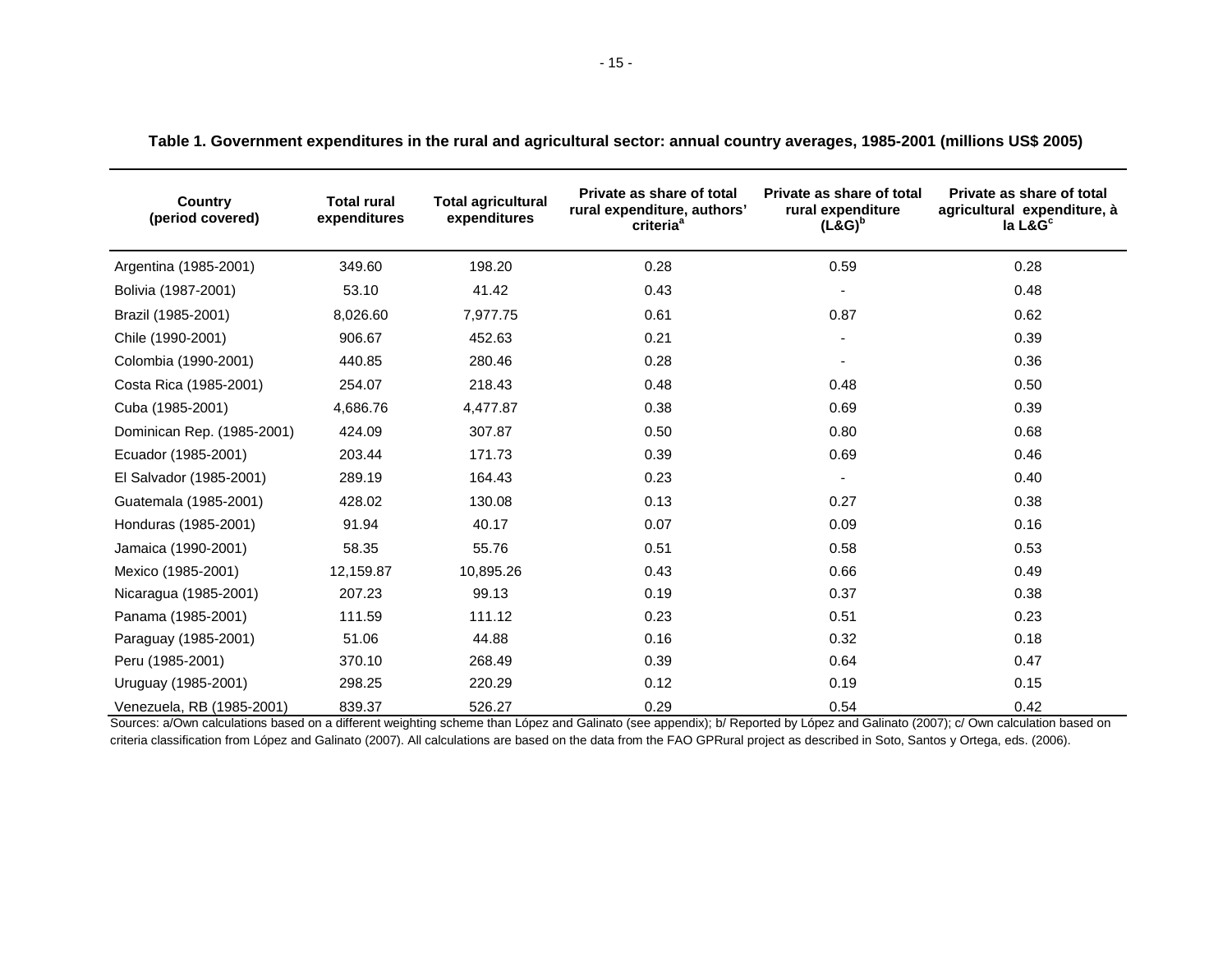| Country<br>(period covered) | <b>Total rural</b><br>expenditures | <b>Total agricultural</b><br>expenditures | Private as share of total<br>rural expenditure, authors'<br>criteria <sup>a</sup> | Private as share of total<br>rural expenditure<br>$(L&G)^b$ | Private as share of total<br>agricultural expenditure, à<br>$la$ L&G $c$ |
|-----------------------------|------------------------------------|-------------------------------------------|-----------------------------------------------------------------------------------|-------------------------------------------------------------|--------------------------------------------------------------------------|
| Argentina (1985-2001)       | 349.60                             | 198.20                                    | 0.28                                                                              | 0.59                                                        | 0.28                                                                     |
| Bolivia (1987-2001)         | 53.10                              | 41.42                                     | 0.43                                                                              |                                                             | 0.48                                                                     |
| Brazil (1985-2001)          | 8,026.60                           | 7,977.75                                  | 0.61                                                                              | 0.87                                                        | 0.62                                                                     |
| Chile (1990-2001)           | 906.67                             | 452.63                                    | 0.21                                                                              |                                                             | 0.39                                                                     |
| Colombia (1990-2001)        | 440.85                             | 280.46                                    | 0.28                                                                              |                                                             | 0.36                                                                     |
| Costa Rica (1985-2001)      | 254.07                             | 218.43                                    | 0.48                                                                              | 0.48                                                        | 0.50                                                                     |
| Cuba (1985-2001)            | 4,686.76                           | 4,477.87                                  | 0.38                                                                              | 0.69                                                        | 0.39                                                                     |
| Dominican Rep. (1985-2001)  | 424.09                             | 307.87                                    | 0.50                                                                              | 0.80                                                        | 0.68                                                                     |
| Ecuador (1985-2001)         | 203.44                             | 171.73                                    | 0.39                                                                              | 0.69                                                        | 0.46                                                                     |
| El Salvador (1985-2001)     | 289.19                             | 164.43                                    | 0.23                                                                              |                                                             | 0.40                                                                     |
| Guatemala (1985-2001)       | 428.02                             | 130.08                                    | 0.13                                                                              | 0.27                                                        | 0.38                                                                     |
| Honduras (1985-2001)        | 91.94                              | 40.17                                     | 0.07                                                                              | 0.09                                                        | 0.16                                                                     |
| Jamaica (1990-2001)         | 58.35                              | 55.76                                     | 0.51                                                                              | 0.58                                                        | 0.53                                                                     |
| Mexico (1985-2001)          | 12,159.87                          | 10,895.26                                 | 0.43                                                                              | 0.66                                                        | 0.49                                                                     |
| Nicaragua (1985-2001)       | 207.23                             | 99.13                                     | 0.19                                                                              | 0.37                                                        | 0.38                                                                     |
| Panama (1985-2001)          | 111.59                             | 111.12                                    | 0.23                                                                              | 0.51                                                        | 0.23                                                                     |
| Paraguay (1985-2001)        | 51.06                              | 44.88                                     | 0.16                                                                              | 0.32                                                        | 0.18                                                                     |
| Peru (1985-2001)            | 370.10                             | 268.49                                    | 0.39                                                                              | 0.64                                                        | 0.47                                                                     |
| Uruguay (1985-2001)         | 298.25                             | 220.29                                    | 0.12                                                                              | 0.19                                                        | 0.15                                                                     |
| Venezuela, RB (1985-2001)   | 839.37                             | 526.27                                    | 0.29                                                                              | 0.54                                                        | 0.42                                                                     |

**Table 1. Government expenditures in the rural and agricultural sector: annual country averages, 1985-2001 (millions US\$ 2005)**

Sources: a/Own calculations based on a different weighting scheme than López and Galinato (see appendix); b/ Reported by López and Galinato (2007); c/ Own calculation based on criteria classification from López and Galinato (2007). All calculations are based on the data from the FAO GPRural project as described in Soto, Santos y Ortega, eds. (2006).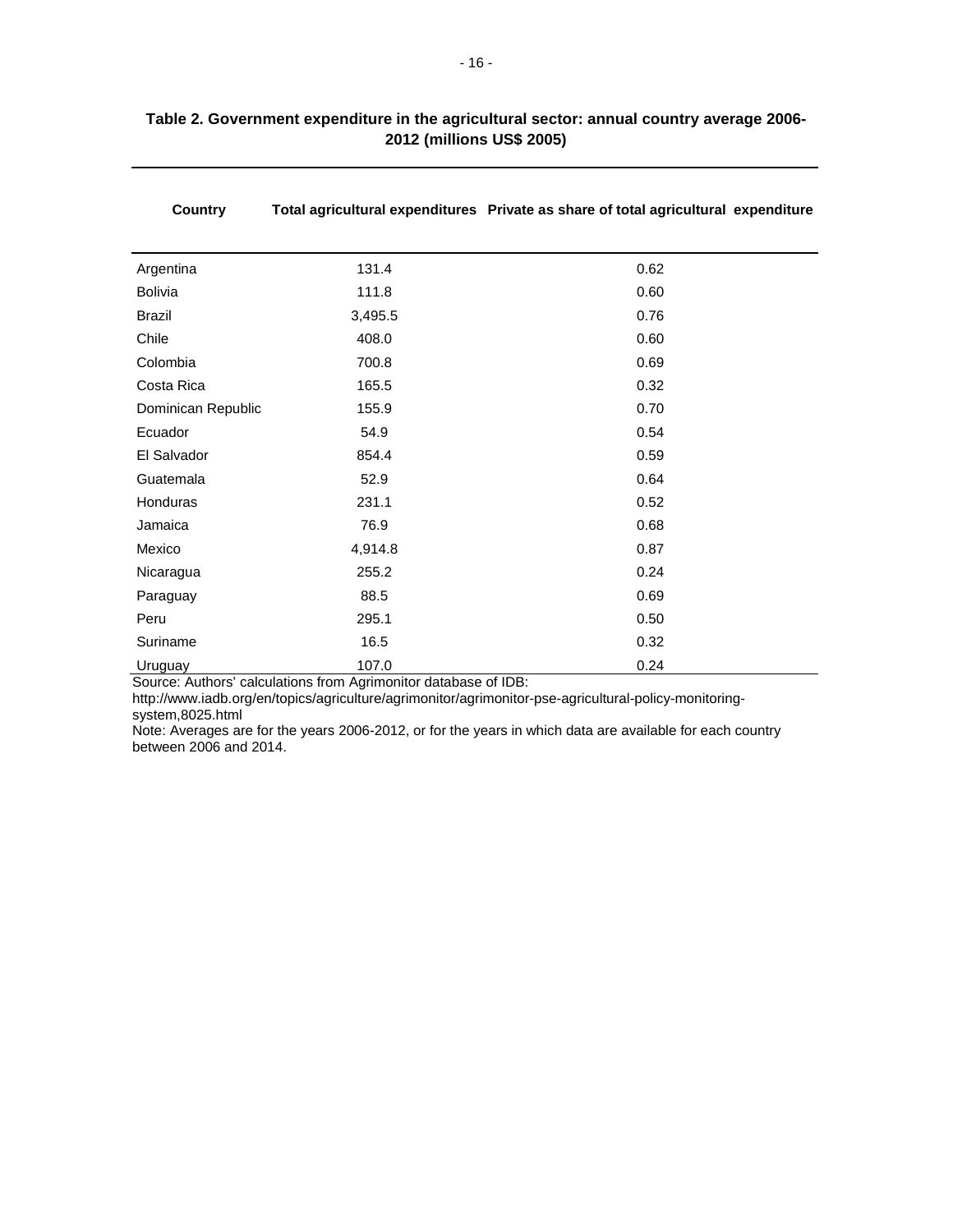| Argentina          | 131.4   | 0.62 |
|--------------------|---------|------|
| <b>Bolivia</b>     | 111.8   | 0.60 |
| <b>Brazil</b>      | 3,495.5 | 0.76 |
| Chile              | 408.0   | 0.60 |
| Colombia           | 700.8   | 0.69 |
| Costa Rica         | 165.5   | 0.32 |
| Dominican Republic | 155.9   | 0.70 |
| Ecuador            | 54.9    | 0.54 |
| El Salvador        | 854.4   | 0.59 |
| Guatemala          | 52.9    | 0.64 |
| Honduras           | 231.1   | 0.52 |
| Jamaica            | 76.9    | 0.68 |
| Mexico             | 4,914.8 | 0.87 |
| Nicaragua          | 255.2   | 0.24 |
| Paraguay           | 88.5    | 0.69 |
| Peru               | 295.1   | 0.50 |
| Suriname           | 16.5    | 0.32 |
| Uruguay            | 107.0   | 0.24 |

#### **Table 2. Government expenditure in the agricultural sector: annual country average 2006- 2012 (millions US\$ 2005)**

**Country Total agricultural expenditures Private as share of total agricultural expenditure**

Source: Authors' calculations from Agrimonitor database of IDB:

http://www.iadb.org/en/topics/agriculture/agrimonitor/agrimonitor-pse-agricultural-policy-monitoringsystem,8025.html

Note: Averages are for the years 2006-2012, or for the years in which data are available for each country between 2006 and 2014.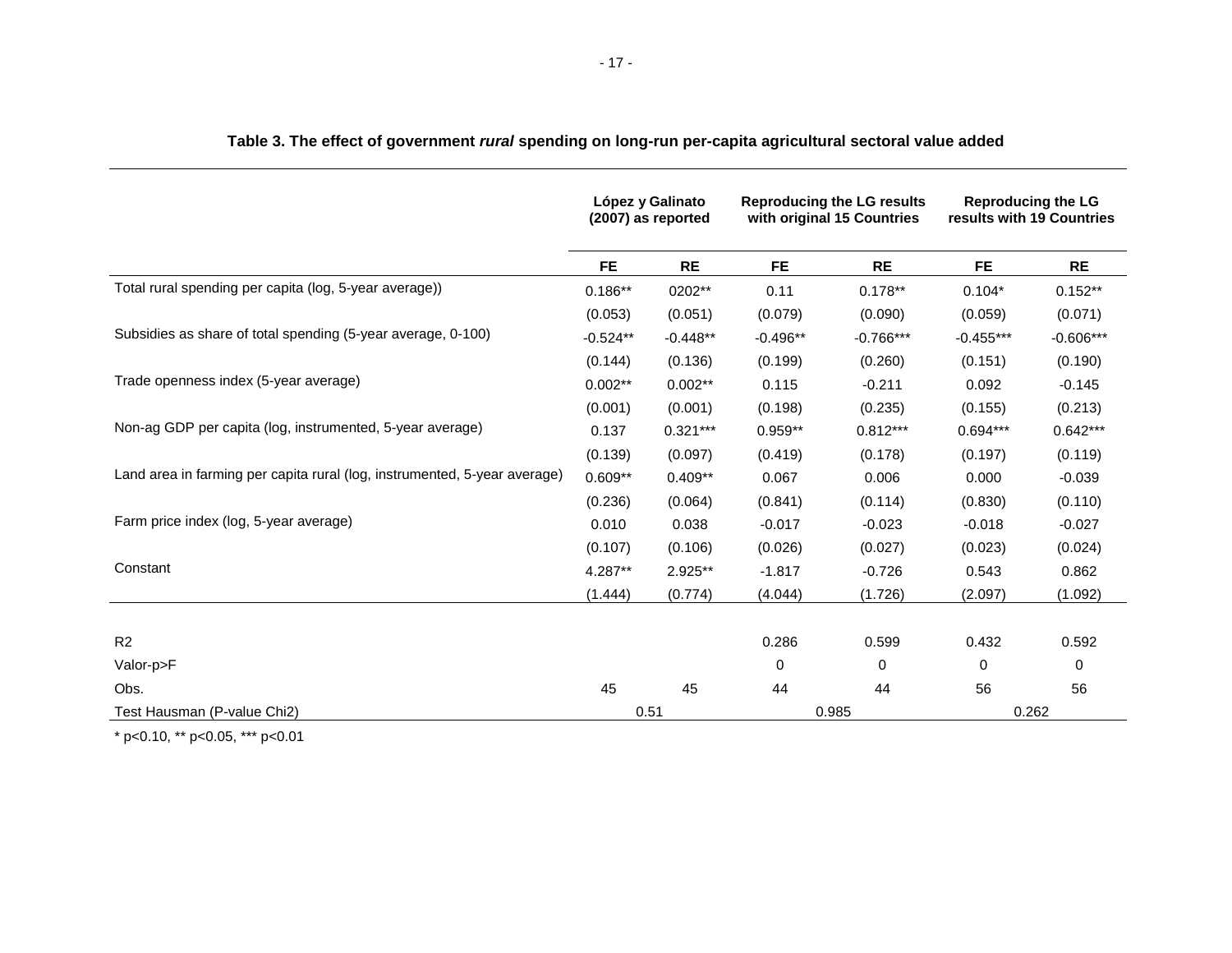|                                                                           | López y Galinato<br><b>Reproducing the LG results</b><br>(2007) as reported<br>with original 15 Countries |            |            | <b>Reproducing the LG</b><br>results with 19 Countries |             |             |
|---------------------------------------------------------------------------|-----------------------------------------------------------------------------------------------------------|------------|------------|--------------------------------------------------------|-------------|-------------|
|                                                                           | <b>FE</b>                                                                                                 | <b>RE</b>  | <b>FE</b>  | <b>RE</b>                                              | <b>FE</b>   | <b>RE</b>   |
| Total rural spending per capita (log, 5-year average))                    | $0.186**$                                                                                                 | 0202**     | 0.11       | $0.178**$                                              | $0.104*$    | $0.152**$   |
|                                                                           | (0.053)                                                                                                   | (0.051)    | (0.079)    | (0.090)                                                | (0.059)     | (0.071)     |
| Subsidies as share of total spending (5-year average, 0-100)              | $-0.524**$                                                                                                | $-0.448**$ | $-0.496**$ | $-0.766***$                                            | $-0.455***$ | $-0.606***$ |
|                                                                           | (0.144)                                                                                                   | (0.136)    | (0.199)    | (0.260)                                                | (0.151)     | (0.190)     |
| Trade openness index (5-year average)                                     | $0.002**$                                                                                                 | $0.002**$  | 0.115      | $-0.211$                                               | 0.092       | $-0.145$    |
|                                                                           | (0.001)                                                                                                   | (0.001)    | (0.198)    | (0.235)                                                | (0.155)     | (0.213)     |
| Non-ag GDP per capita (log, instrumented, 5-year average)                 | 0.137                                                                                                     | $0.321***$ | $0.959**$  | $0.812***$                                             | $0.694***$  | $0.642***$  |
|                                                                           | (0.139)                                                                                                   | (0.097)    | (0.419)    | (0.178)                                                | (0.197)     | (0.119)     |
| Land area in farming per capita rural (log, instrumented, 5-year average) | $0.609**$                                                                                                 | $0.409**$  | 0.067      | 0.006                                                  | 0.000       | $-0.039$    |
|                                                                           | (0.236)                                                                                                   | (0.064)    | (0.841)    | (0.114)                                                | (0.830)     | (0.110)     |
| Farm price index (log, 5-year average)                                    | 0.010                                                                                                     | 0.038      | $-0.017$   | $-0.023$                                               | $-0.018$    | $-0.027$    |
|                                                                           | (0.107)                                                                                                   | (0.106)    | (0.026)    | (0.027)                                                | (0.023)     | (0.024)     |
| Constant                                                                  | $4.287**$                                                                                                 | 2.925**    | $-1.817$   | $-0.726$                                               | 0.543       | 0.862       |
|                                                                           | (1.444)                                                                                                   | (0.774)    | (4.044)    | (1.726)                                                | (2.097)     | (1.092)     |
|                                                                           |                                                                                                           |            |            |                                                        |             |             |
| R <sub>2</sub>                                                            |                                                                                                           |            | 0.286      | 0.599                                                  | 0.432       | 0.592       |
| Valor-p>F                                                                 |                                                                                                           |            | 0          | 0                                                      | 0           | 0           |
| Obs.                                                                      | 45                                                                                                        | 45         | 44         | 44                                                     | 56          | 56          |
| Test Hausman (P-value Chi2)                                               | 0.51                                                                                                      |            |            | 0.985                                                  |             | 0.262       |

#### **Table 3. The effect of government** *rural* **spending on long-run per-capita agricultural sectoral value added**

\* p<0.10, \*\* p<0.05, \*\*\* p<0.01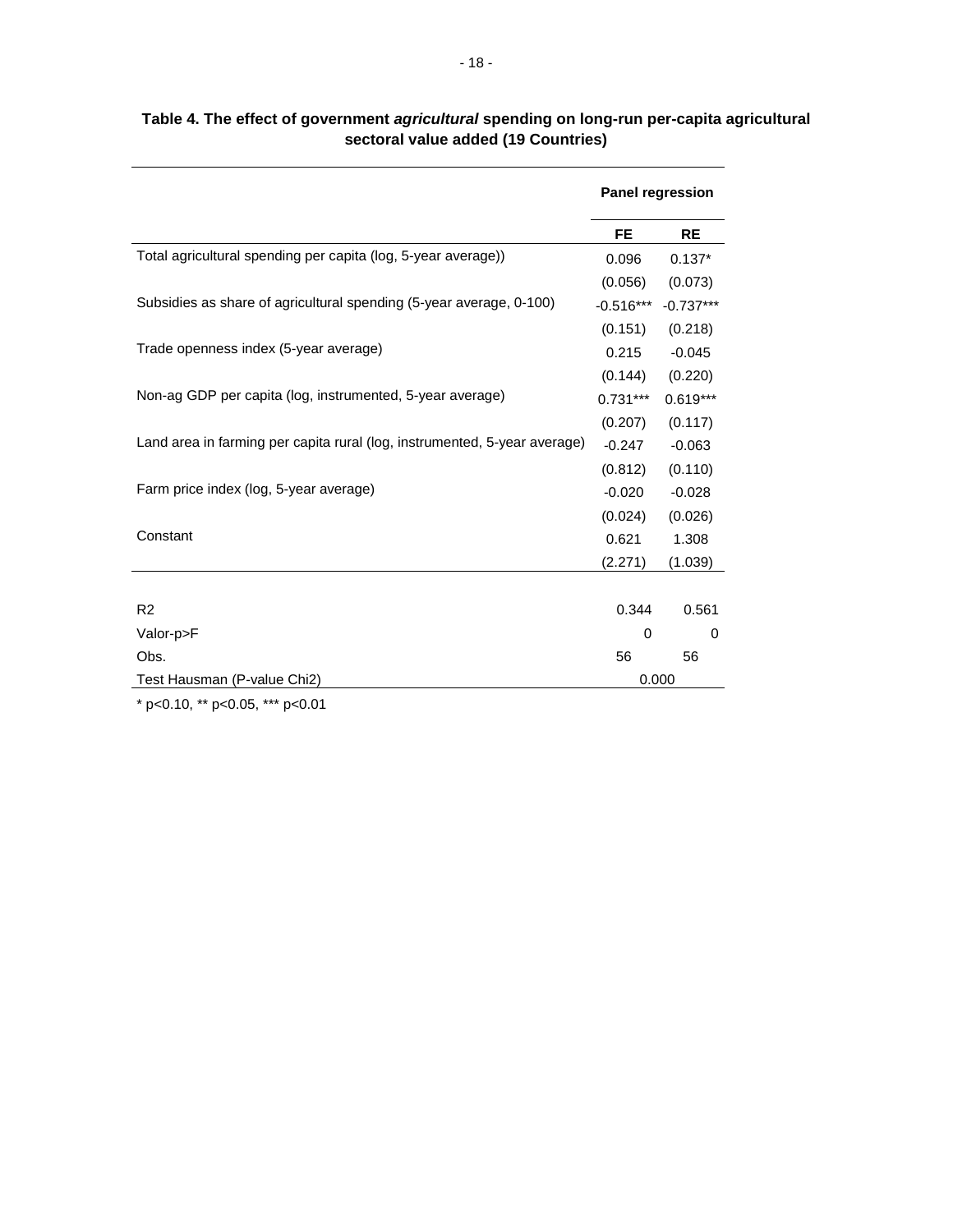|                                                                           |             | <b>Panel regression</b> |
|---------------------------------------------------------------------------|-------------|-------------------------|
|                                                                           | <b>FE</b>   | <b>RE</b>               |
| Total agricultural spending per capita (log, 5-year average))             | 0.096       | $0.137*$                |
|                                                                           | (0.056)     | (0.073)                 |
| Subsidies as share of agricultural spending (5-year average, 0-100)       | $-0.516***$ | $-0.737***$             |
|                                                                           | (0.151)     | (0.218)                 |
| Trade openness index (5-year average)                                     | 0.215       | $-0.045$                |
|                                                                           | (0.144)     | (0.220)                 |
| Non-ag GDP per capita (log, instrumented, 5-year average)                 | $0.731***$  | $0.619***$              |
|                                                                           | (0.207)     | (0.117)                 |
| Land area in farming per capita rural (log, instrumented, 5-year average) | $-0.247$    | $-0.063$                |
|                                                                           | (0.812)     | (0.110)                 |
| Farm price index (log, 5-year average)                                    | $-0.020$    | $-0.028$                |
|                                                                           | (0.024)     | (0.026)                 |
| Constant                                                                  | 0.621       | 1.308                   |
|                                                                           | (2.271)     | (1.039)                 |
|                                                                           |             |                         |
| R <sub>2</sub>                                                            | 0.344       | 0.561                   |
| Valor-p>F                                                                 | 0           | 0                       |
| Obs.                                                                      | 56          | 56                      |
| Test Hausman (P-value Chi2)                                               |             | 0.000                   |

#### **Table 4. The effect of government** *agricultural* **spending on long-run per-capita agricultural sectoral value added (19 Countries)**

\* p<0.10, \*\* p<0.05, \*\*\* p<0.01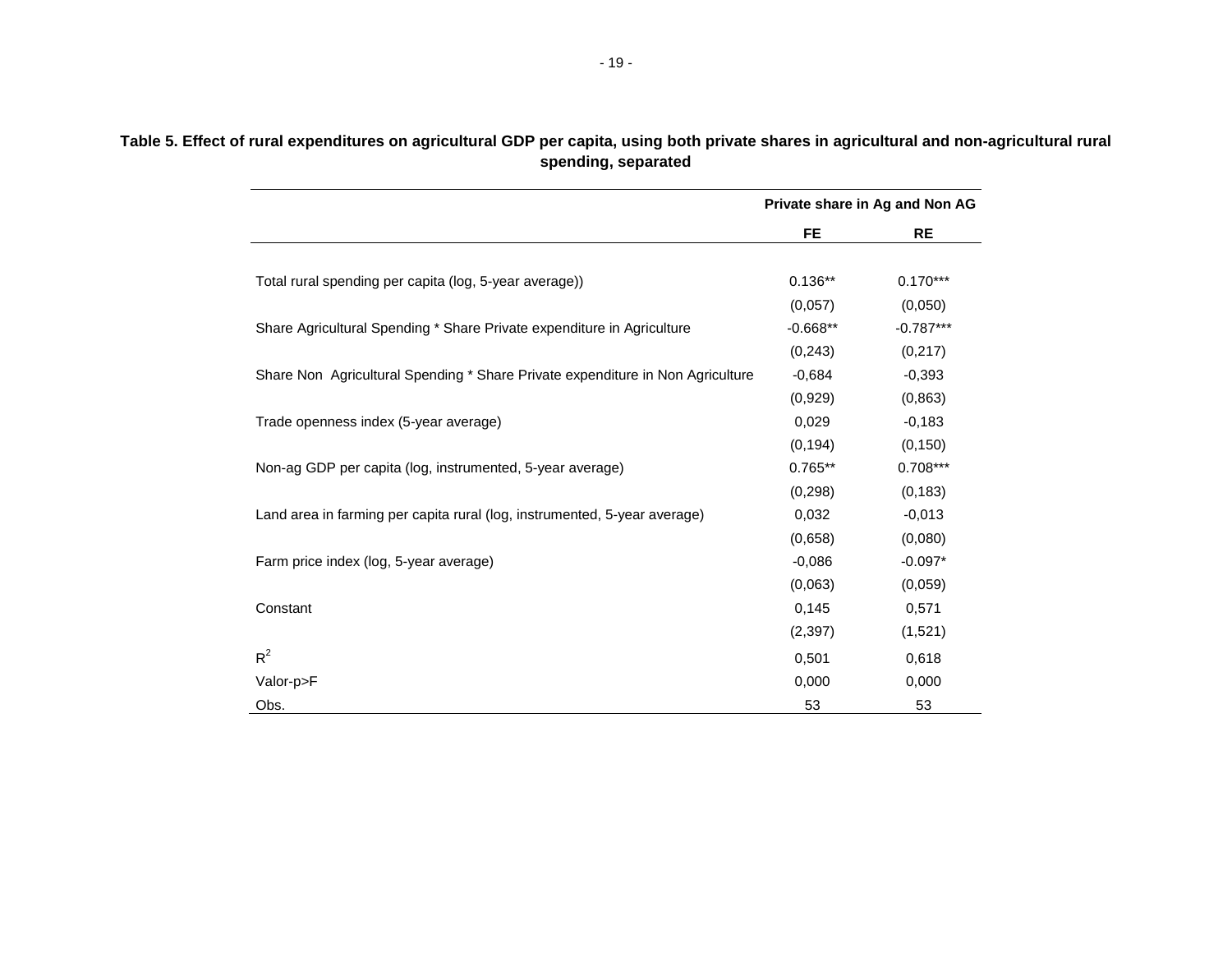|                                                                                | Private share in Ag and Non AG |             |  |
|--------------------------------------------------------------------------------|--------------------------------|-------------|--|
|                                                                                | <b>FE</b>                      | <b>RE</b>   |  |
|                                                                                |                                |             |  |
| Total rural spending per capita (log, 5-year average))                         | $0.136**$                      | $0.170***$  |  |
|                                                                                | (0,057)                        | (0,050)     |  |
| Share Agricultural Spending * Share Private expenditure in Agriculture         | $-0.668**$                     | $-0.787***$ |  |
|                                                                                | (0, 243)                       | (0, 217)    |  |
| Share Non Agricultural Spending * Share Private expenditure in Non Agriculture | $-0,684$                       | $-0,393$    |  |
|                                                                                | (0,929)                        | (0, 863)    |  |
| Trade openness index (5-year average)                                          | 0,029                          | $-0,183$    |  |
|                                                                                | (0, 194)                       | (0, 150)    |  |
| Non-ag GDP per capita (log, instrumented, 5-year average)                      | $0.765**$                      | $0.708***$  |  |
|                                                                                | (0, 298)                       | (0, 183)    |  |
| Land area in farming per capita rural (log, instrumented, 5-year average)      | 0.032                          | $-0,013$    |  |
|                                                                                | (0,658)                        | (0,080)     |  |
| Farm price index (log, 5-year average)                                         | $-0,086$                       | $-0.097*$   |  |
|                                                                                | (0,063)                        | (0,059)     |  |
| Constant                                                                       | 0,145                          | 0,571       |  |
|                                                                                | (2, 397)                       | (1,521)     |  |
| $R^2$                                                                          | 0,501                          | 0,618       |  |
| Valor-p>F                                                                      | 0,000                          | 0,000       |  |
| Obs.                                                                           | 53                             | 53          |  |

#### **Table 5. Effect of rural expenditures on agricultural GDP per capita, using both private shares in agricultural and non-agricultural rural spending, separated**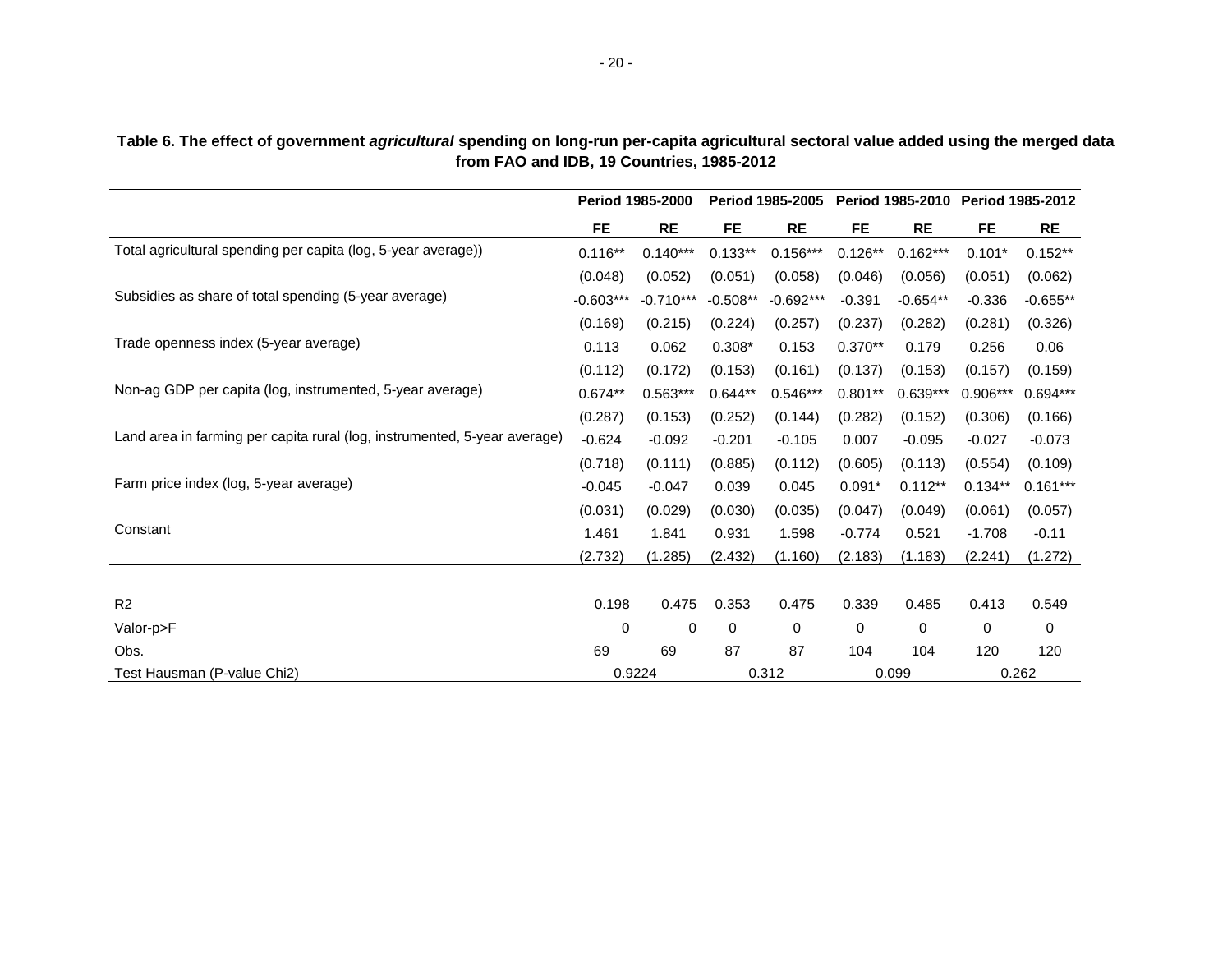|                                                                           | <b>Period 1985-2000</b> |             | <b>Period 1985-2005</b> |             | Period 1985-2010 |            | <b>Period 1985-2012</b> |            |
|---------------------------------------------------------------------------|-------------------------|-------------|-------------------------|-------------|------------------|------------|-------------------------|------------|
|                                                                           | <b>FE</b>               | <b>RE</b>   | <b>FE</b>               | <b>RE</b>   | <b>FE</b>        | <b>RE</b>  | <b>FE</b>               | <b>RE</b>  |
| Total agricultural spending per capita (log, 5-year average))             | $0.116**$               | $0.140***$  | $0.133**$               | $0.156***$  | $0.126**$        | $0.162***$ | $0.101*$                | $0.152**$  |
|                                                                           | (0.048)                 | (0.052)     | (0.051)                 | (0.058)     | (0.046)          | (0.056)    | (0.051)                 | (0.062)    |
| Subsidies as share of total spending (5-year average)                     | $-0.603***$             | $-0.710***$ | $-0.508**$              | $-0.692***$ | $-0.391$         | $-0.654**$ | $-0.336$                | $-0.655**$ |
|                                                                           | (0.169)                 | (0.215)     | (0.224)                 | (0.257)     | (0.237)          | (0.282)    | (0.281)                 | (0.326)    |
| Trade openness index (5-year average)                                     | 0.113                   | 0.062       | $0.308*$                | 0.153       | $0.370**$        | 0.179      | 0.256                   | 0.06       |
|                                                                           | (0.112)                 | (0.172)     | (0.153)                 | (0.161)     | (0.137)          | (0.153)    | (0.157)                 | (0.159)    |
| Non-ag GDP per capita (log, instrumented, 5-year average)                 | $0.674**$               | $0.563***$  | $0.644**$               | $0.546***$  | $0.801**$        | $0.639***$ | 0.906***                | $0.694***$ |
|                                                                           | (0.287)                 | (0.153)     | (0.252)                 | (0.144)     | (0.282)          | (0.152)    | (0.306)                 | (0.166)    |
| Land area in farming per capita rural (log, instrumented, 5-year average) | $-0.624$                | $-0.092$    | $-0.201$                | $-0.105$    | 0.007            | $-0.095$   | $-0.027$                | $-0.073$   |
|                                                                           | (0.718)                 | (0.111)     | (0.885)                 | (0.112)     | (0.605)          | (0.113)    | (0.554)                 | (0.109)    |
| Farm price index (log, 5-year average)                                    | $-0.045$                | $-0.047$    | 0.039                   | 0.045       | $0.091*$         | $0.112**$  | $0.134**$               | $0.161***$ |
|                                                                           | (0.031)                 | (0.029)     | (0.030)                 | (0.035)     | (0.047)          | (0.049)    | (0.061)                 | (0.057)    |
| Constant                                                                  | 1.461                   | 1.841       | 0.931                   | 1.598       | $-0.774$         | 0.521      | $-1.708$                | $-0.11$    |
|                                                                           | (2.732)                 | (1.285)     | (2.432)                 | (1.160)     | (2.183)          | (1.183)    | (2.241)                 | (1.272)    |
|                                                                           |                         |             |                         |             |                  |            |                         |            |
| R2                                                                        | 0.198                   | 0.475       | 0.353                   | 0.475       | 0.339            | 0.485      | 0.413                   | 0.549      |
| Valor-p>F                                                                 | 0                       | $\Omega$    | 0                       | 0           | 0                | 0          | $\Omega$                | 0          |
| Obs.                                                                      | 69                      | 69          | 87                      | 87          | 104              | 104        | 120                     | 120        |
| Test Hausman (P-value Chi2)                                               |                         | 0.9224      |                         | 0.312       |                  | 0.099      |                         | 0.262      |

**Table 6. The effect of government** *agricultural* **spending on long-run per-capita agricultural sectoral value added using the merged data from FAO and IDB, 19 Countries, 1985-2012**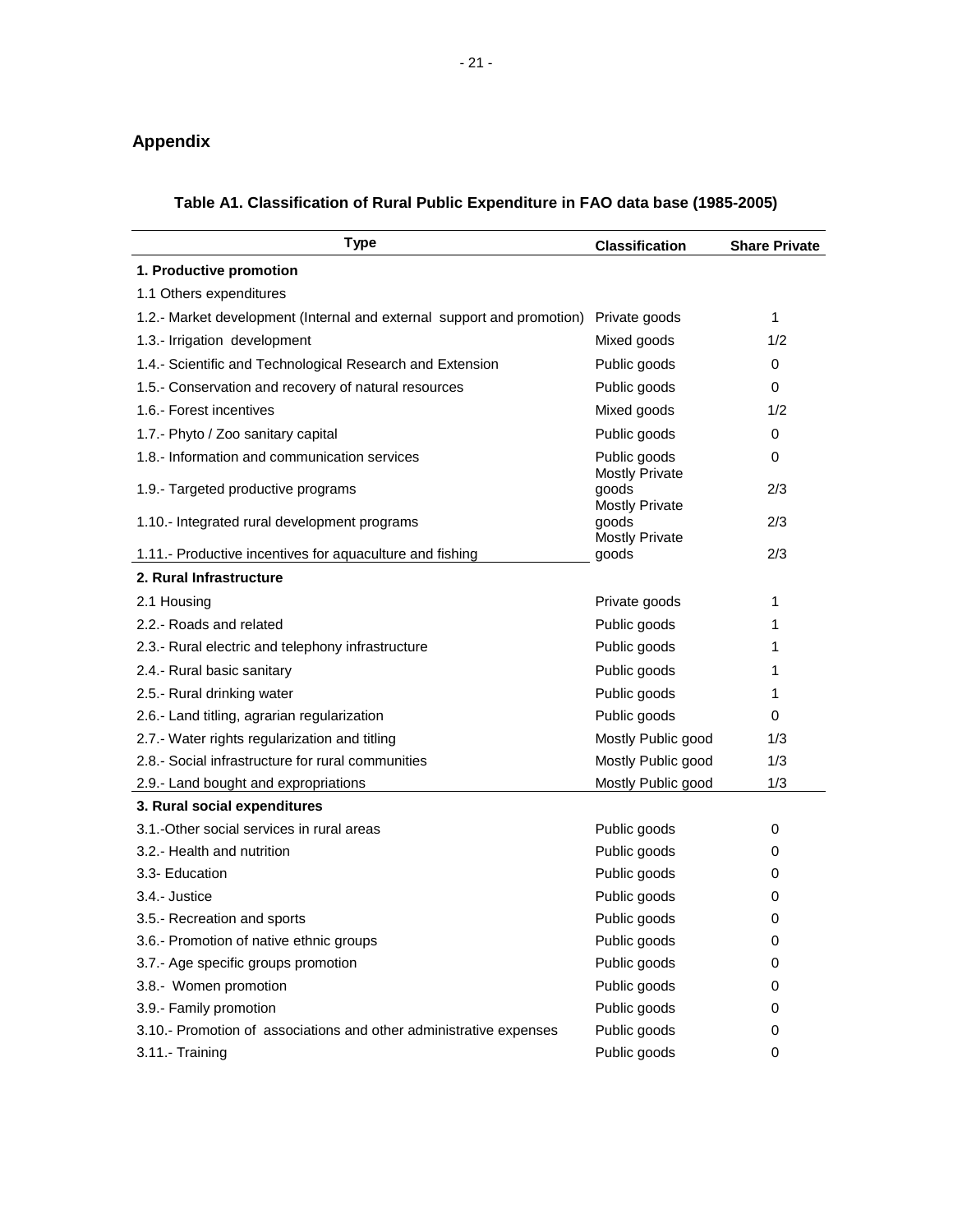### <span id="page-25-0"></span>**Appendix**

| <b>Type</b>                                                            | <b>Classification</b>                                   | <b>Share Private</b> |
|------------------------------------------------------------------------|---------------------------------------------------------|----------------------|
| 1. Productive promotion                                                |                                                         |                      |
| 1.1 Others expenditures                                                |                                                         |                      |
| 1.2.- Market development (Internal and external support and promotion) | Private goods                                           | 1                    |
| 1.3.- Irrigation development                                           | Mixed goods                                             | 1/2                  |
| 1.4.- Scientific and Technological Research and Extension              | Public goods                                            | 0                    |
| 1.5.- Conservation and recovery of natural resources                   | Public goods                                            | $\Omega$             |
| 1.6.- Forest incentives                                                | Mixed goods                                             | 1/2                  |
| 1.7.- Phyto / Zoo sanitary capital                                     | Public goods                                            | 0                    |
| 1.8.- Information and communication services                           | Public goods                                            | $\Omega$             |
| 1.9.- Targeted productive programs                                     | <b>Mostly Private</b><br>goods<br><b>Mostly Private</b> | 2/3                  |
| 1.10.- Integrated rural development programs                           | goods<br><b>Mostly Private</b>                          | 2/3                  |
| 1.11.- Productive incentives for aquaculture and fishing               | goods                                                   | 2/3                  |
| 2. Rural Infrastructure                                                |                                                         |                      |
| 2.1 Housing                                                            | Private goods                                           | 1                    |
| 2.2.- Roads and related                                                | Public goods                                            | 1                    |
| 2.3.- Rural electric and telephony infrastructure                      | Public goods                                            | 1                    |
| 2.4.- Rural basic sanitary                                             | Public goods                                            | 1                    |
| 2.5.- Rural drinking water                                             | Public goods                                            | 1                    |
| 2.6.- Land titling, agrarian regularization                            | Public goods                                            | 0                    |
| 2.7.- Water rights regularization and titling                          | Mostly Public good                                      | 1/3                  |
| 2.8.- Social infrastructure for rural communities                      | Mostly Public good                                      | 1/3                  |
| 2.9.- Land bought and expropriations                                   | Mostly Public good                                      | 1/3                  |
| 3. Rural social expenditures                                           |                                                         |                      |
| 3.1.-Other social services in rural areas                              | Public goods                                            | 0                    |
| 3.2.- Health and nutrition                                             | Public goods                                            | 0                    |
| 3.3- Education                                                         | Public goods                                            | 0                    |
| 3.4.- Justice                                                          | Public goods                                            | 0                    |
| 3.5.- Recreation and sports                                            | Public goods                                            | 0                    |
| 3.6.- Promotion of native ethnic groups                                | Public goods                                            | 0                    |
| 3.7.- Age specific groups promotion                                    | Public goods                                            | 0                    |
| 3.8.- Women promotion                                                  | Public goods                                            | 0                    |
| 3.9.- Family promotion                                                 | Public goods                                            | 0                    |
| 3.10.- Promotion of associations and other administrative expenses     | Public goods                                            | 0                    |
| 3.11.- Training                                                        | Public goods                                            | 0                    |

#### **Table A1. Classification of Rural Public Expenditure in FAO data base (1985-2005)**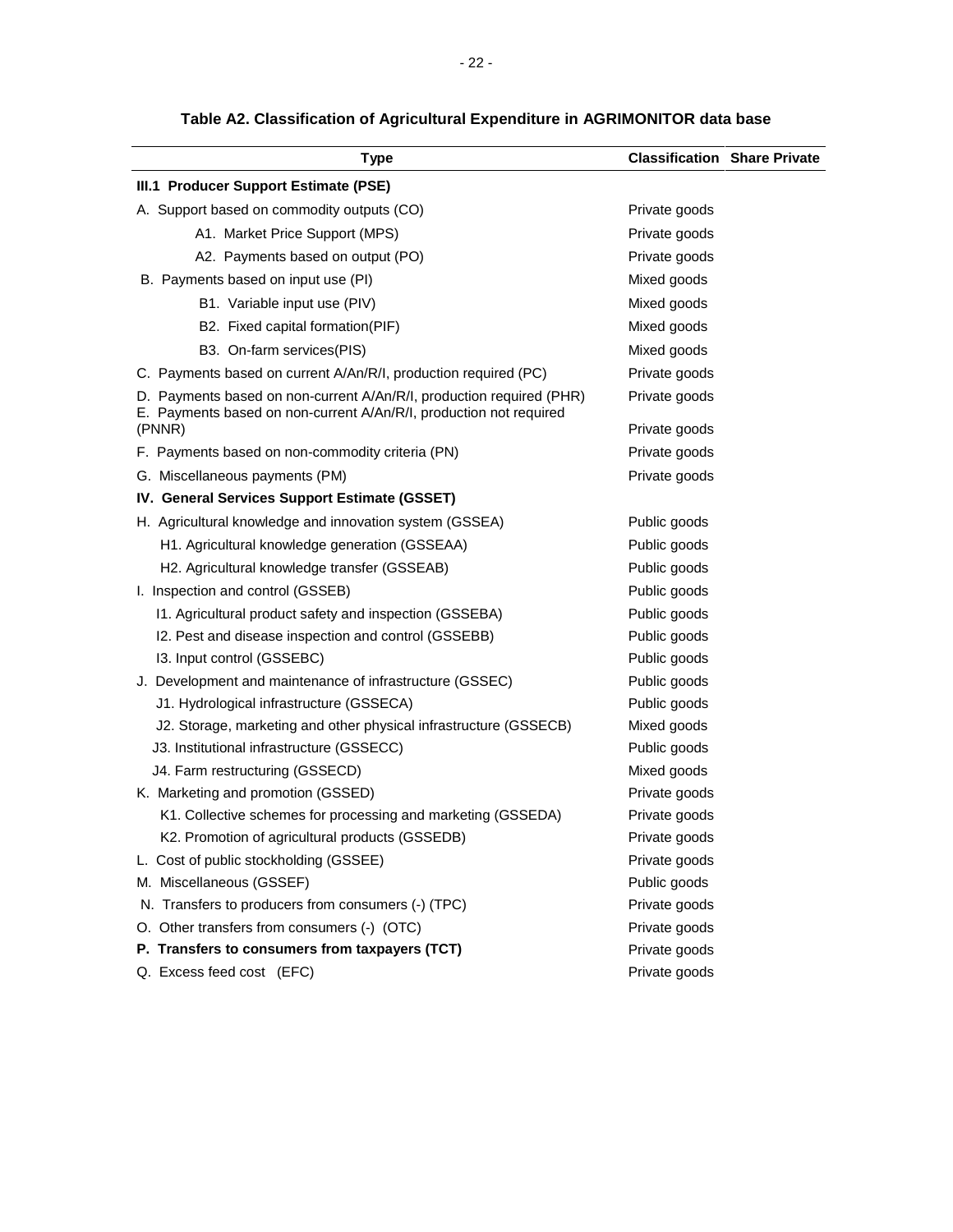| Type                                                                                                                                       | <b>Classification Share Private</b> |  |
|--------------------------------------------------------------------------------------------------------------------------------------------|-------------------------------------|--|
| III.1 Producer Support Estimate (PSE)                                                                                                      |                                     |  |
| A. Support based on commodity outputs (CO)                                                                                                 | Private goods                       |  |
| A1. Market Price Support (MPS)                                                                                                             | Private goods                       |  |
| A2. Payments based on output (PO)                                                                                                          | Private goods                       |  |
| B. Payments based on input use (PI)                                                                                                        | Mixed goods                         |  |
| B1. Variable input use (PIV)                                                                                                               | Mixed goods                         |  |
| B2. Fixed capital formation(PIF)                                                                                                           | Mixed goods                         |  |
| B3. On-farm services(PIS)                                                                                                                  | Mixed goods                         |  |
| C. Payments based on current A/An/R/I, production required (PC)                                                                            | Private goods                       |  |
| D. Payments based on non-current A/An/R/I, production required (PHR)<br>E. Payments based on non-current A/An/R/I, production not required | Private goods                       |  |
| (PNNR)                                                                                                                                     | Private goods                       |  |
| F. Payments based on non-commodity criteria (PN)                                                                                           | Private goods                       |  |
| G. Miscellaneous payments (PM)                                                                                                             | Private goods                       |  |
| IV. General Services Support Estimate (GSSET)                                                                                              |                                     |  |
| H. Agricultural knowledge and innovation system (GSSEA)                                                                                    | Public goods                        |  |
| H1. Agricultural knowledge generation (GSSEAA)                                                                                             | Public goods                        |  |
| H2. Agricultural knowledge transfer (GSSEAB)                                                                                               | Public goods                        |  |
| I. Inspection and control (GSSEB)                                                                                                          | Public goods                        |  |
| 11. Agricultural product safety and inspection (GSSEBA)                                                                                    | Public goods                        |  |
| I2. Pest and disease inspection and control (GSSEBB)                                                                                       | Public goods                        |  |
| 13. Input control (GSSEBC)                                                                                                                 | Public goods                        |  |
| J. Development and maintenance of infrastructure (GSSEC)                                                                                   | Public goods                        |  |
| J1. Hydrological infrastructure (GSSECA)                                                                                                   | Public goods                        |  |
| J2. Storage, marketing and other physical infrastructure (GSSECB)                                                                          | Mixed goods                         |  |
| J3. Institutional infrastructure (GSSECC)                                                                                                  | Public goods                        |  |
| J4. Farm restructuring (GSSECD)                                                                                                            | Mixed goods                         |  |
| K. Marketing and promotion (GSSED)                                                                                                         | Private goods                       |  |
| K1. Collective schemes for processing and marketing (GSSEDA)                                                                               | Private goods                       |  |
| K2. Promotion of agricultural products (GSSEDB)                                                                                            | Private goods                       |  |
| L. Cost of public stockholding (GSSEE)                                                                                                     | Private goods                       |  |
| M. Miscellaneous (GSSEF)                                                                                                                   | Public goods                        |  |
| N. Transfers to producers from consumers (-) (TPC)                                                                                         | Private goods                       |  |
| O. Other transfers from consumers (-) (OTC)                                                                                                | Private goods                       |  |
| P. Transfers to consumers from taxpayers (TCT)                                                                                             | Private goods                       |  |
| Q. Excess feed cost (EFC)                                                                                                                  | Private goods                       |  |

#### **Table A2. Classification of Agricultural Expenditure in AGRIMONITOR data base**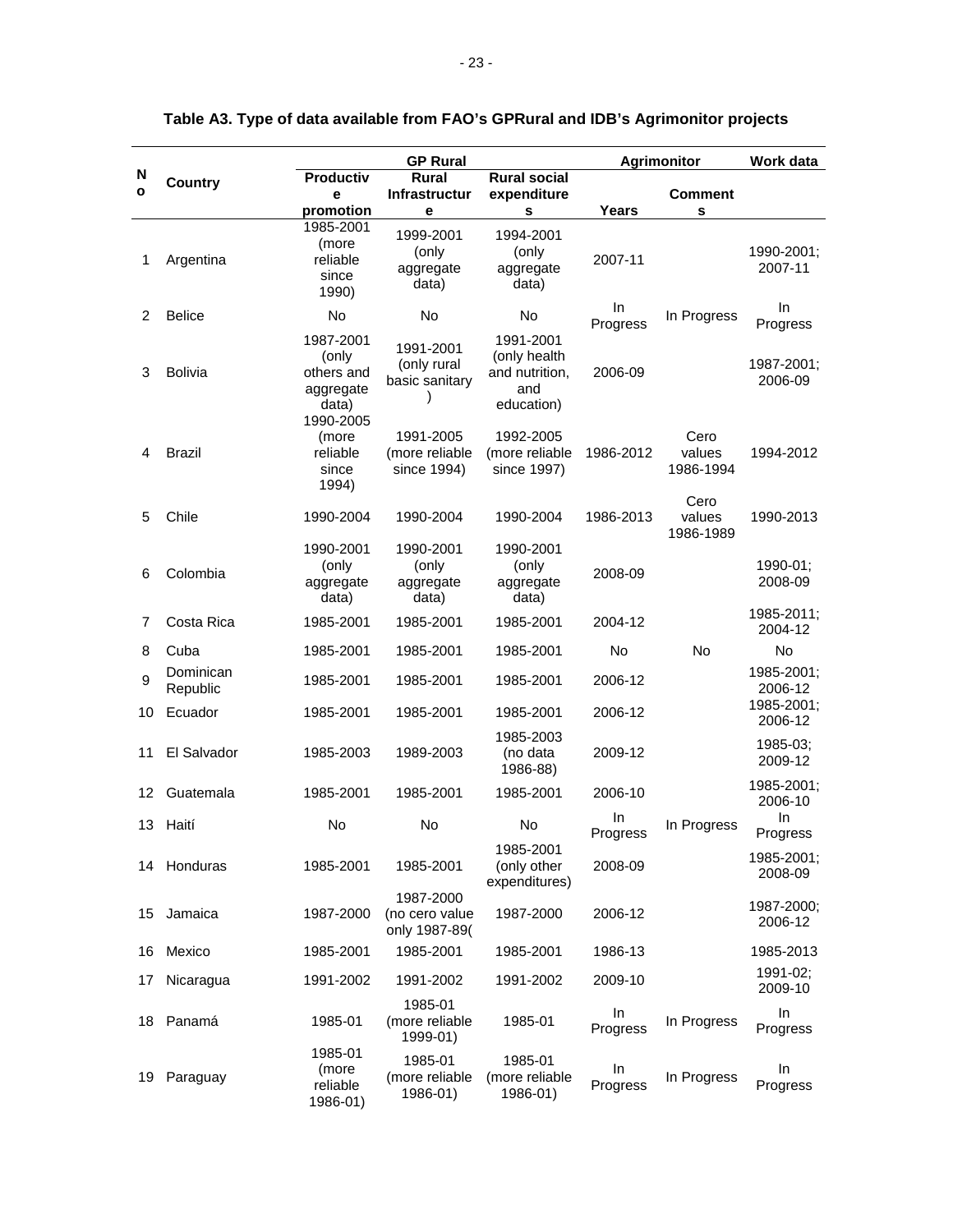|                   |                       |                                                                     | <b>GP Rural</b>                              |                                                                  | <b>Agrimonitor</b> |                             | Work data             |
|-------------------|-----------------------|---------------------------------------------------------------------|----------------------------------------------|------------------------------------------------------------------|--------------------|-----------------------------|-----------------------|
| N<br>$\mathbf{o}$ | <b>Country</b>        | Productiv<br>е<br>promotion                                         | <b>Rural</b><br><b>Infrastructur</b><br>е    | <b>Rural social</b><br>expenditure<br>s                          | Years              | <b>Comment</b><br>s         |                       |
| 1                 | Argentina             | 1985-2001<br>(more<br>reliable<br>since<br>1990)                    | 1999-2001<br>(only<br>aggregate<br>data)     | 1994-2001<br>(only<br>aggregate<br>data)                         | 2007-11            |                             | 1990-2001;<br>2007-11 |
| 2                 | <b>Belice</b>         | No                                                                  | <b>No</b>                                    | <b>No</b>                                                        | In.<br>Progress    | In Progress                 | In.<br>Progress       |
| 3                 | <b>Bolivia</b>        | 1987-2001<br>(only<br>others and<br>aggregate<br>data)<br>1990-2005 | 1991-2001<br>(only rural<br>basic sanitary   | 1991-2001<br>(only health<br>and nutrition,<br>and<br>education) | 2006-09            |                             | 1987-2001;<br>2006-09 |
| 4                 | <b>Brazil</b>         | (more<br>reliable<br>since<br>1994)                                 | 1991-2005<br>(more reliable<br>since 1994)   | 1992-2005<br>(more reliable<br>since 1997)                       | 1986-2012          | Cero<br>values<br>1986-1994 | 1994-2012             |
| 5                 | Chile                 | 1990-2004                                                           | 1990-2004                                    | 1990-2004                                                        | 1986-2013          | Cero<br>values<br>1986-1989 | 1990-2013             |
| 6                 | Colombia              | 1990-2001<br>(only<br>aggregate<br>data)                            | 1990-2001<br>(only<br>aggregate<br>data)     | 1990-2001<br>(only<br>aggregate<br>data)                         | 2008-09            |                             | 1990-01;<br>2008-09   |
| 7                 | Costa Rica            | 1985-2001                                                           | 1985-2001                                    | 1985-2001                                                        | 2004-12            |                             | 1985-2011;<br>2004-12 |
| 8                 | Cuba                  | 1985-2001                                                           | 1985-2001                                    | 1985-2001                                                        | No                 | No                          | <b>No</b>             |
| 9                 | Dominican<br>Republic | 1985-2001                                                           | 1985-2001                                    | 1985-2001                                                        | 2006-12            |                             | 1985-2001;<br>2006-12 |
| 10                | Ecuador               | 1985-2001                                                           | 1985-2001                                    | 1985-2001                                                        | 2006-12            |                             | 1985-2001;<br>2006-12 |
| 11                | El Salvador           | 1985-2003                                                           | 1989-2003                                    | 1985-2003<br>(no data<br>1986-88)                                | 2009-12            |                             | 1985-03;<br>2009-12   |
| 12                | Guatemala             | 1985-2001                                                           | 1985-2001                                    | 1985-2001                                                        | 2006-10            |                             | 1985-2001;<br>2006-10 |
| 13                | Haití                 | No                                                                  | <b>No</b>                                    | No                                                               | In.<br>Progress    | In Progress                 | In<br>Progress        |
| 14                | Honduras              | 1985-2001                                                           | 1985-2001                                    | 1985-2001<br>(only other<br>expenditures)                        | 2008-09            |                             | 1985-2001;<br>2008-09 |
| 15                | Jamaica               | 1987-2000                                                           | 1987-2000<br>(no cero value<br>only 1987-89( | 1987-2000                                                        | 2006-12            |                             | 1987-2000;<br>2006-12 |
| 16                | Mexico                | 1985-2001                                                           | 1985-2001                                    | 1985-2001                                                        | 1986-13            |                             | 1985-2013             |
| 17                | Nicaragua             | 1991-2002                                                           | 1991-2002                                    | 1991-2002                                                        | 2009-10            |                             | 1991-02:<br>2009-10   |
| 18                | Panamá                | 1985-01                                                             | 1985-01<br>(more reliable<br>1999-01)        | 1985-01                                                          | In.<br>Progress    | In Progress                 | In<br>Progress        |
| 19                | Paraguay              | 1985-01<br>(more<br>reliable<br>1986-01)                            | 1985-01<br>(more reliable<br>1986-01)        | 1985-01<br>(more reliable<br>1986-01)                            | In.<br>Progress    | In Progress                 | In<br>Progress        |

#### **Table A3. Type of data available from FAO's GPRural and IDB's Agrimonitor projects**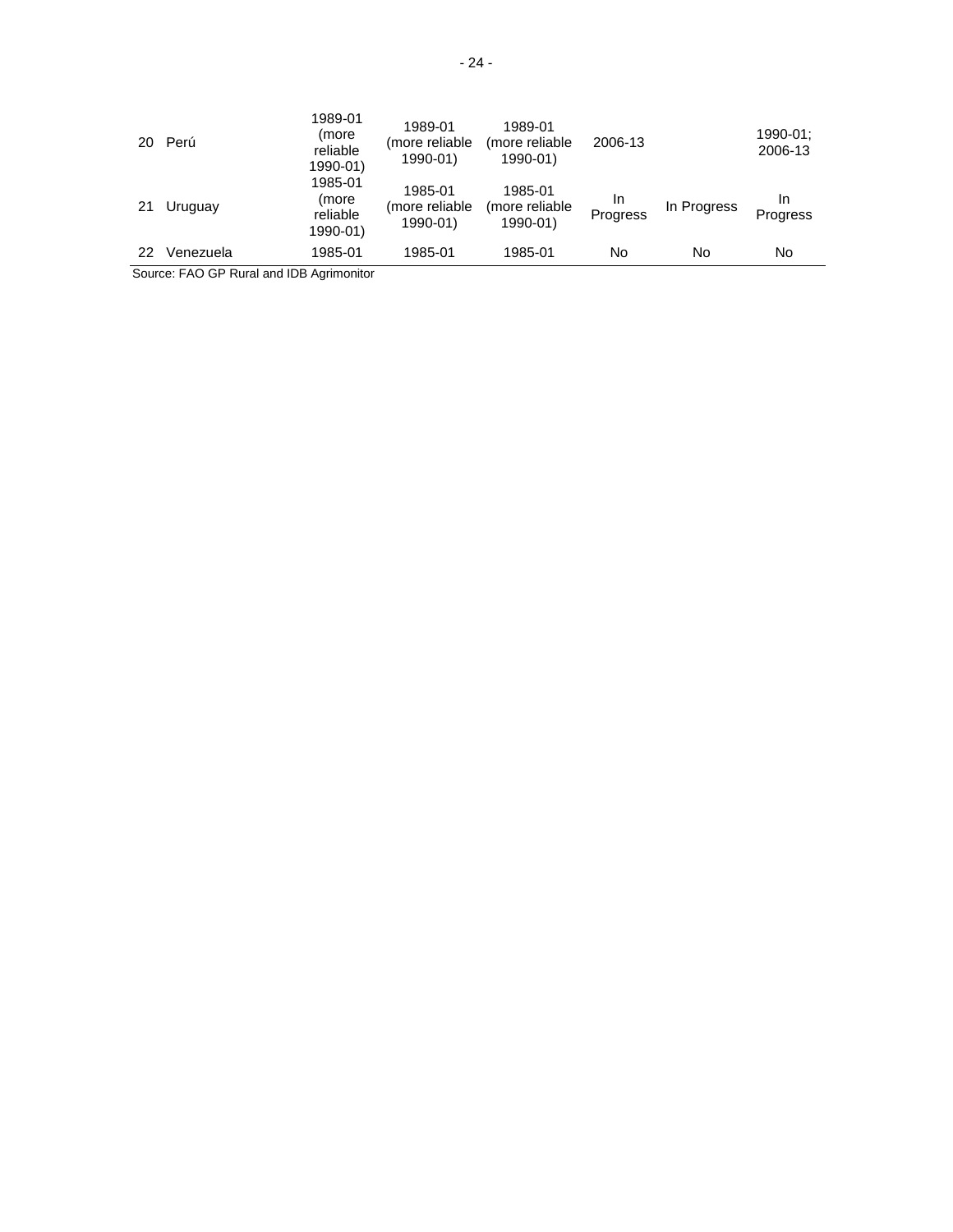| 20 | Perú      | 1989-01<br>(more<br>reliable<br>1990-01) | 1989-01<br>(more reliable<br>1990-01) | 1989-01<br>(more reliable<br>1990-01) | 2006-13        |             | 1990-01:<br>2006-13   |
|----|-----------|------------------------------------------|---------------------------------------|---------------------------------------|----------------|-------------|-----------------------|
| 21 | Uruguay   | 1985-01<br>(more<br>reliable<br>1990-01) | 1985-01<br>(more reliable<br>1990-01) | 1985-01<br>(more reliable<br>1990-01) | In<br>Progress | In Progress | In<br><b>Progress</b> |
| 22 | Venezuela | 1985-01                                  | 1985-01                               | 1985-01                               | No             | No          | No                    |

Source: FAO GP Rural and IDB Agrimonitor